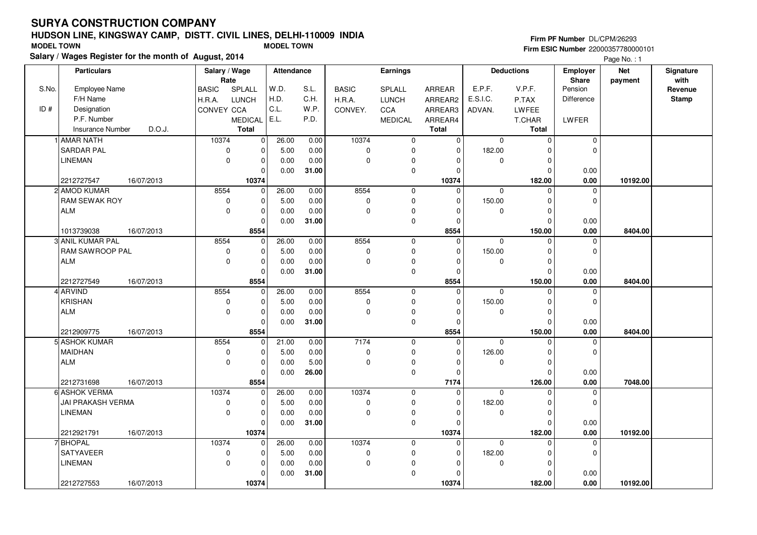# **HUDSON LINE, KINGSWAY CAMP, DISTT. CIVIL LINES, DELHI-110009 INDIASalary / Wages Register for the month of August, 2014 MODEL TOWN MODEL TOWN**

# **Firm PF Number** DL/CPM/26293

|       | Salary / wages Register for the month of August, 2014 |                |                |            |       |              |                 |              |              |                   |             | Page No.: 1 |              |
|-------|-------------------------------------------------------|----------------|----------------|------------|-------|--------------|-----------------|--------------|--------------|-------------------|-------------|-------------|--------------|
|       | <b>Particulars</b>                                    | Salary / Wage  |                | Attendance |       |              | <b>Earnings</b> |              |              | <b>Deductions</b> | Employer    | <b>Net</b>  | Signature    |
|       |                                                       | Rate           |                |            |       |              |                 |              |              |                   | Share       | payment     | with         |
| S.No. | <b>Employee Name</b>                                  | <b>BASIC</b>   | SPLALL         | W.D.       | S.L.  | <b>BASIC</b> | SPLALL          | ARREAR       | E.P.F.       | V.P.F.            | Pension     |             | Revenue      |
|       | F/H Name                                              | H.R.A.         | LUNCH          | H.D.       | C.H.  | H.R.A.       | <b>LUNCH</b>    | ARREAR2      | E.S.I.C.     | P.TAX             | Difference  |             | <b>Stamp</b> |
| ID#   | Designation                                           | CONVEY CCA     |                | C.L.       | W.P.  | CONVEY.      | <b>CCA</b>      | ARREAR3      | ADVAN.       | LWFEE             |             |             |              |
|       | P.F. Number                                           |                | <b>MEDICAL</b> | E.L.       | P.D.  |              | <b>MEDICAL</b>  | ARREAR4      |              | T.CHAR            | LWFER       |             |              |
|       | D.O.J.<br><b>Insurance Number</b>                     |                | Total          |            |       |              |                 | <b>Total</b> |              | Total             |             |             |              |
|       | 1 AMAR NATH                                           | 10374          | $\overline{0}$ | 26.00      | 0.00  | 10374        | $\mathbf 0$     | $\Omega$     | $\Omega$     | $\mathbf 0$       | 0           |             |              |
|       | <b>SARDAR PAL</b>                                     | 0              | $\mathbf 0$    | 5.00       | 0.00  | 0            | $\mathbf 0$     | $\mathbf 0$  | 182.00       | $\Omega$          | $\Omega$    |             |              |
|       | <b>LINEMAN</b>                                        | $\overline{0}$ | $\pmb{0}$      | 0.00       | 0.00  | $\mathbf 0$  | $\pmb{0}$       | $\mathbf 0$  | 0            | 0                 |             |             |              |
|       |                                                       |                | $\mathbf 0$    | 0.00       | 31.00 |              | $\mathbf 0$     | $\mathbf 0$  |              | $\mathbf 0$       | 0.00        |             |              |
|       | 2212727547<br>16/07/2013                              |                | 10374          |            |       |              |                 | 10374        |              | 182.00            | 0.00        | 10192.00    |              |
|       | 2 AMOD KUMAR                                          | 8554           | $\mathbf 0$    | 26.00      | 0.00  | 8554         | $\mathbf 0$     | $\Omega$     | $\mathbf{0}$ | $\Omega$          | $\Omega$    |             |              |
|       | <b>RAM SEWAK ROY</b>                                  | $\mathbf 0$    | $\mathbf 0$    | 5.00       | 0.00  | 0            | $\mathbf 0$     | $\mathbf 0$  | 150.00       | $\mathbf 0$       | $\mathbf 0$ |             |              |
|       | ALM                                                   | $\mathbf 0$    | $\mathbf 0$    | 0.00       | 0.00  | $\mathsf 0$  | $\pmb{0}$       | $\Omega$     | 0            | $\mathbf 0$       |             |             |              |
|       |                                                       |                | $\Omega$       | 0.00       | 31.00 |              | $\mathsf 0$     | $\mathbf 0$  |              | $\Omega$          | 0.00        |             |              |
|       | 1013739038<br>16/07/2013                              |                | 8554           |            |       |              |                 | 8554         |              | 150.00            | 0.00        | 8404.00     |              |
|       | 3 ANIL KUMAR PAL                                      | 8554           | $\mathbf 0$    | 26.00      | 0.00  | 8554         | $\mathbf 0$     | $\mathbf 0$  | $\mathbf 0$  | $\mathbf 0$       | 0           |             |              |
|       | RAM SAWROOP PAL                                       | 0              | $\mathbf 0$    | 5.00       | 0.00  | 0            | $\mathbf 0$     | $\mathbf 0$  | 150.00       | $\mathbf 0$       | $\mathbf 0$ |             |              |
|       | <b>ALM</b>                                            | $\Omega$       | $\mathbf 0$    | 0.00       | 0.00  | $\mathbf 0$  | $\mathbf 0$     | $\Omega$     | $\mathbf 0$  | $\Omega$          |             |             |              |
|       |                                                       |                | $\Omega$       | 0.00       | 31.00 |              | $\mathsf 0$     | $\Omega$     |              | $\Omega$          | 0.00        |             |              |
|       | 2212727549<br>16/07/2013                              |                | 8554           |            |       |              |                 | 8554         |              | 150.00            | 0.00        | 8404.00     |              |
|       | 4 ARVIND                                              | 8554           | $\mathbf 0$    | 26.00      | 0.00  | 8554         | $\mathbf 0$     | $\mathbf 0$  | $\Omega$     | $\Omega$          | 0           |             |              |
|       | KRISHAN                                               | $\mathbf 0$    | $\mathbf 0$    | 5.00       | 0.00  | 0            | $\mathbf 0$     | $\Omega$     | 150.00       | $\Omega$          | $\Omega$    |             |              |
|       | <b>ALM</b>                                            | $\Omega$       | $\mathbf 0$    | 0.00       | 0.00  | $\mathbf 0$  | $\mathbf 0$     | 0            | 0            | 0                 |             |             |              |
|       |                                                       |                | $\mathbf 0$    | 0.00       | 31.00 |              | $\mathbf 0$     | $\mathbf 0$  |              | $\mathbf 0$       | 0.00        |             |              |
|       | 2212909775<br>16/07/2013                              |                | 8554           |            |       |              |                 | 8554         |              | 150.00            | 0.00        | 8404.00     |              |
|       | 5l ASHOK KUMAR                                        | 8554           | $\Omega$       | 21.00      | 0.00  | 7174         | $\mathbf 0$     | $\Omega$     | $\Omega$     | $\Omega$          | $\Omega$    |             |              |
|       | <b>MAIDHAN</b>                                        | $\pmb{0}$      | $\mathbf 0$    | 5.00       | 0.00  | $\pmb{0}$    | $\mathsf 0$     | $\mathbf 0$  | 126.00       | $\mathbf 0$       | $\mathbf 0$ |             |              |
|       | <b>ALM</b>                                            | $\mathbf 0$    | $\mathbf 0$    | 0.00       | 5.00  | $\mathbf 0$  | $\mathbf 0$     | 0            | $\mathbf 0$  | $\mathbf 0$       |             |             |              |
|       |                                                       |                | $\Omega$       | 0.00       | 26.00 |              | $\mathbf 0$     | $\Omega$     |              | $\Omega$          | 0.00        |             |              |
|       | 2212731698<br>16/07/2013                              |                | 8554           |            |       |              |                 | 7174         |              | 126.00            | 0.00        | 7048.00     |              |
|       | 6 ASHOK VERMA                                         | 10374          | $\mathbf 0$    | 26.00      | 0.00  | 10374        | $\mathbf 0$     | $\Omega$     | $\mathbf 0$  | $\mathbf 0$       | 0           |             |              |
|       | JAI PRAKASH VERMA                                     | 0              | $\mathbf 0$    | 5.00       | 0.00  | $\pmb{0}$    | $\pmb{0}$       | $\mathbf 0$  | 182.00       | $\Omega$          | $\mathbf 0$ |             |              |
|       | <b>LINEMAN</b>                                        | 0              | $\mathbf 0$    | 0.00       | 0.00  | 0            | $\pmb{0}$       | $\mathbf 0$  | 0            | $\mathbf 0$       |             |             |              |
|       |                                                       |                | $\mathbf 0$    | 0.00       | 31.00 |              | $\mathsf 0$     | $\Omega$     |              | $\Omega$          | 0.00        |             |              |
|       | 2212921791<br>16/07/2013                              |                | 10374          |            |       |              |                 | 10374        |              | 182.00            | 0.00        | 10192.00    |              |
|       | 7 BHOPAL                                              | 10374          | $\mathbf 0$    | 26.00      | 0.00  | 10374        | $\mathbf 0$     | $\mathbf 0$  | $\Omega$     | $\Omega$          | $\mathbf 0$ |             |              |
|       | <b>SATYAVEER</b>                                      | $\mathbf 0$    | $\mathbf 0$    | 5.00       | 0.00  | $\pmb{0}$    | $\mathbf 0$     | $\mathbf 0$  | 182.00       | $\Omega$          | $\mathbf 0$ |             |              |
|       | <b>LINEMAN</b>                                        | $\mathbf 0$    | $\mathbf 0$    | 0.00       | 0.00  | $\mathbf 0$  | $\pmb{0}$       | $\Omega$     | $\Omega$     | $\mathbf 0$       |             |             |              |
|       |                                                       |                | $\mathbf 0$    | 0.00       | 31.00 |              | $\mathbf 0$     | $\Omega$     |              | $\Omega$          | 0.00        |             |              |
|       | 2212727553<br>16/07/2013                              |                | 10374          |            |       |              |                 | 10374        |              | 182.00            | 0.00        | 10192.00    |              |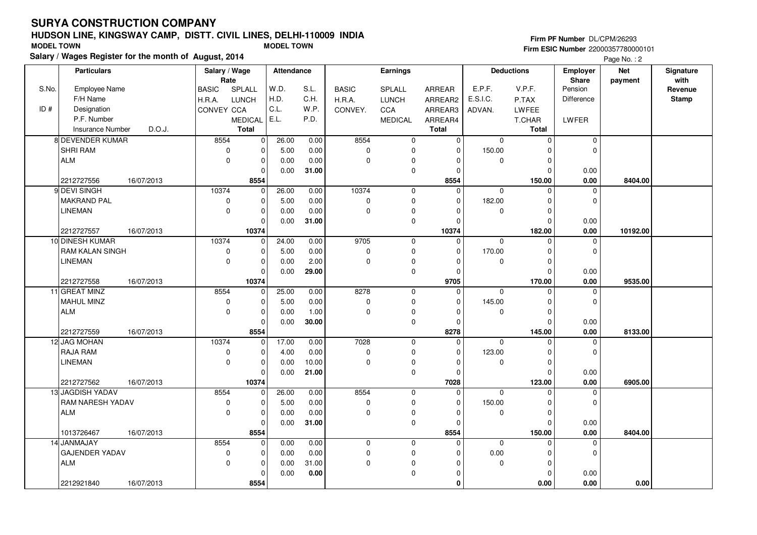11 GREAT MINZ MAHUL MINZ

12 JAG MOHAN RAJA RAMLINEMAN

13 JAGDISH YADAVRAM NARESH YADAV

ALM

ALM

14 JANMAJAY

GAJENDER YADAV

2212727559 **8554**

2212727562 **10374**

1013726467 16/07/2013

2212921840 **8554**

ALM

# **HUDSON LINE, KINGSWAY CAMP, DISTT. CIVIL LINES, DELHI-110009 INDIA**

 $\overline{0}$ 

25.00 5.00 0.000.00

17.00 4.00 0.000.00

26.00 5.00 0.000.00

> 0.00 0.00 0.000.00

 0.00 0.00 1.00**30.00**

 0.00 0.00 10.00**21.00**

 0.00 0.00 0.00**31.00**

 $0.00$  0.00 31.00 **0.00**

 $\overline{0}$  $\overline{0}$  $\overline{0}$ 8554

 $\overline{0}$ 

 $\overline{0}$  $\overline{0}$  $\overline{0}$ 10374

 $\overline{0}$ 

 $\overline{0}$  $\overline{0}$  $\overline{0}$ 8554

 $\overline{0}$ 

 $\overline{0}$  $\overline{0}$  $\overline{0}$ 8554

 8554 $\overline{0}$  $\overline{0}$ 

 10374 $\overline{0}$  $\overline{0}$ 

> 8554 $\overline{0}$  $\overline{0}$

> 8554 $\overline{0}$  $\overline{0}$

| <b>MODEL TOWN</b> |                                                       |            |                       | <b>MODEL TOWN</b> |       |              |                |          |          |                   | <b>I IIIII FI NGIHIDEI</b> DLOI MIZOZJJ | Firm ESIC Number 22000357780000101 |                   |
|-------------------|-------------------------------------------------------|------------|-----------------------|-------------------|-------|--------------|----------------|----------|----------|-------------------|-----------------------------------------|------------------------------------|-------------------|
|                   | Salary / Wages Register for the month of August, 2014 |            |                       |                   |       |              |                |          |          |                   |                                         | Page No.: 2                        |                   |
|                   | <b>Particulars</b>                                    |            | Salary / Wage<br>Rate | Attendance        |       |              | Earnings       |          |          | <b>Deductions</b> | <b>Employer</b><br><b>Share</b>         | <b>Net</b><br>payment              | Signature<br>with |
| S.No.             | <b>Employee Name</b>                                  | BASIC      | SPLALL                | W.D.              | S.L.  | <b>BASIC</b> | SPLALL         | ARREAR   | E.P.F.   | V.P.F.            | Pension                                 |                                    | Revenue           |
|                   | F/H Name                                              | H.R.A.     | <b>LUNCH</b>          | H.D.              | C.H.  | H.R.A.       | <b>LUNCH</b>   | ARREAR2  | E.S.I.C. | P.TAX             | Difference                              |                                    | Stamp             |
| ID#               | Designation                                           | CONVEY CCA |                       | C.L.              | W.P.  | CONVEY.      | <b>CCA</b>     | ARREAR3  | ADVAN.   | LWFEE             |                                         |                                    |                   |
|                   | P.F. Number                                           |            | <b>MEDICAL</b>        | E.L.              | P.D.  |              | <b>MEDICAL</b> | ARREAR4  |          | T.CHAR            | LWFER                                   |                                    |                   |
|                   | D.O.J.<br>Insurance Number                            |            | Total                 |                   |       |              |                | Total    |          | Total             |                                         |                                    |                   |
|                   | 8 DEVENDER KUMAR                                      | 8554       | $\Omega$              | 26.00             | 0.00  | 8554         | <sup>n</sup>   | $\Omega$ | $\Omega$ |                   | $\Omega$                                |                                    |                   |
|                   | ISHRI RAM                                             |            | $\Omega$              | 5.00              | 0.00  | $\Omega$     |                | 0        | 150.00   |                   |                                         |                                    |                   |
|                   | ALM                                                   |            | $\Omega$<br>$\Omega$  | 0.00              | 0.00  | $\Omega$     |                |          | O        |                   |                                         |                                    |                   |
|                   |                                                       |            |                       | 0.00              | 31.00 |              | $\Omega$       |          |          |                   | 0.00                                    |                                    |                   |
|                   | 2212727556<br>16/07/2013                              |            | 8554                  |                   |       |              |                | 8554     |          | 150.00            | 0.00                                    | 8404.00                            |                   |
|                   | 9 DEVI SINGH                                          | 10374      |                       | 26.00             | 0.00  | 10374        | 0              | 0        | $\Omega$ |                   |                                         |                                    |                   |
|                   | MAKRAND PAL                                           |            |                       | 5.00              | 0.00  | $\Omega$     |                | $\Omega$ | 182.00   |                   |                                         |                                    |                   |
|                   | LINEMAN                                               |            | O<br>$\Omega$         | 0.00              | 0.00  | $\Omega$     |                |          | n        |                   |                                         |                                    |                   |
|                   |                                                       |            |                       | 0.00              | 31.00 |              |                |          |          |                   | 0.00                                    |                                    |                   |
|                   | 2212727557<br>16/07/2013                              |            | 10374                 |                   |       |              |                | 10374    |          | 182.00            | 0.00                                    | 10192.00                           |                   |
|                   | 10 DINESH KUMAR                                       | 10374      | $\Omega$              | 24.00             | 0.00  | 9705         | <sup>0</sup>   | $\Omega$ | $\Omega$ |                   |                                         |                                    |                   |
|                   | <b>RAM KALAN SINGH</b>                                |            | $\Omega$              | 5.00              | 0.00  | 0            |                | 0        | 170.00   |                   |                                         |                                    |                   |
|                   | <b>LINEMAN</b>                                        |            | $\Omega$              | 0.00              | 2.00  | 0            |                |          |          |                   |                                         |                                    |                   |
|                   |                                                       |            |                       | 0.00              | 29.00 |              |                |          |          |                   | 0.00                                    |                                    |                   |
|                   | 2212727558<br>16/07/2013                              |            | 10374                 |                   |       |              |                | 9705     |          | 170.00            | 0.00                                    | 9535.00                            |                   |

 8278 $\overline{0}$  $\overline{0}$ 

16/07/2013 **0.00**

 7028 $\overline{0}$  $\overline{0}$ 

16/07/2013 **0.00**

 8554 $\overline{0}$  $\overline{0}$ 

16/07/2013 **0.00**

16/07/2013 **0.00**

 $\overline{0}$  $\overline{0}$  $\overline{0}$ 

 $\overline{0}$ 

 $\overline{0}$  $\overline{0}$  $\overline{0}$  $\overline{0}$ 

 $\overline{0}$  $\overline{0}$  $\overline{0}$  $\overline{0}$ 

 0 $\overline{0}$  $\overline{0}$  $\overline{0}$ 

 $\overline{0}$  $\overline{0}$  $\overline{0}$  $\overline{0}$ 

 $\overline{0}$  $\overline{0}$  $\overline{0}$   **8278** $\overline{0}$ 

 $\overline{0}$  $\overline{0}$  $\overline{0}$   **7028** $\overline{0}$ 

 $\overline{0}$  $\overline{0}$  $\overline{0}$   **8554** $\overline{0}$ 

> $\overline{0}$  $\overline{0}$  $\overline{0}$  **0**

**Firm PF Number** DL/CPM/26293

 $\overline{0}$ 

 $\overline{0}$ 

 0.00 $0.00$ 

 $\overline{0}$ 

 $\overline{0}$ 

 0.00 $0.00$ 

 $\overline{0}$ 

 $\overline{0}$ 

 0.00 $0.00$ 

 $\overline{0}$ 

 $\overline{0}$ 

 **0.00 0.00**

0.00

 **145.00 8133.00**

 **123.00 6905.00**

 **150.00 8404.00**

0 0

0 0

0 0

 $\begin{matrix}0&0\end{matrix}$ 

 145.00 $\overline{0}$ 

 123.00 $\overline{0}$ 

 150.00 $\overline{0}$ 

> 0.00 $\overline{0}$

 $\overline{0}$ 

 $\overline{0}$  $\overline{0}$ 145.00

 $\overline{0}$ 

 $\overline{0}$  $\overline{0}$ 123.00

 0 $\overline{0}$  $\overline{0}$ 150.00

 $\overline{0}$ 

 0 $\overline{0}$  $0.00$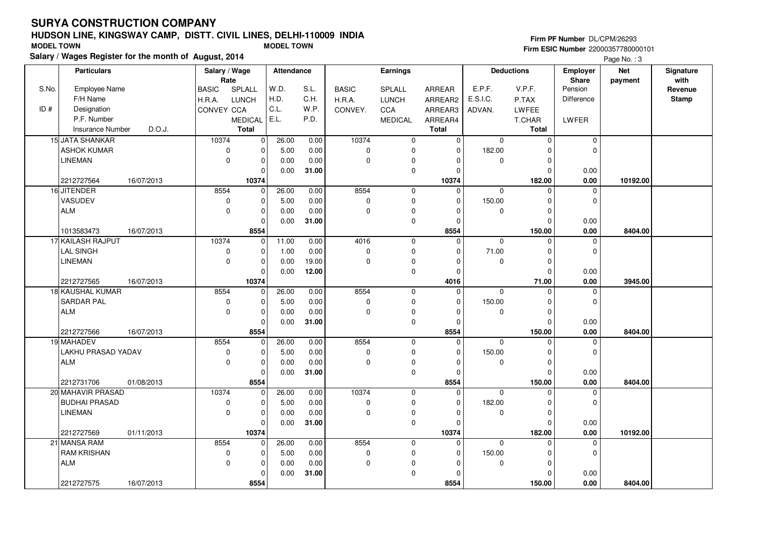# **HUDSON LINE, KINGSWAY CAMP, DISTT. CIVIL LINES, DELHI-110009 INDIASalary / Wages Register for the month of August, 2014 MODEL TOWN MODEL TOWN**

## **Firm PF Number** DL/CPM/26293

|       | Salary / Wages Register for the month of August, 2014 |            |               |                |                   |       |              |                |                |              |                   |                | Page No.: 3 |           |
|-------|-------------------------------------------------------|------------|---------------|----------------|-------------------|-------|--------------|----------------|----------------|--------------|-------------------|----------------|-------------|-----------|
|       | <b>Particulars</b>                                    |            | Salary / Wage |                | <b>Attendance</b> |       |              | Earnings       |                |              | <b>Deductions</b> | Employer       | <b>Net</b>  | Signature |
|       |                                                       |            | Rate          |                |                   |       |              |                |                |              |                   | <b>Share</b>   | payment     | with      |
| S.No. | Employee Name                                         |            | <b>BASIC</b>  | <b>SPLALL</b>  | W.D.              | S.L.  | <b>BASIC</b> | SPLALL         | <b>ARREAR</b>  | E.P.F.       | V.P.F.            | Pension        |             | Revenue   |
|       | F/H Name                                              |            | H.R.A.        | <b>LUNCH</b>   | H.D.              | C.H.  | H.R.A.       | <b>LUNCH</b>   | ARREAR2        | E.S.I.C.     | P.TAX             | Difference     |             | Stamp     |
| ID#   | Designation                                           |            | CONVEY CCA    |                | C.L.              | W.P.  | CONVEY.      | <b>CCA</b>     | ARREAR3        | ADVAN.       | <b>LWFEE</b>      |                |             |           |
|       | P.F. Number                                           |            |               | <b>MEDICAL</b> | E.L.              | P.D.  |              | <b>MEDICAL</b> | ARREAR4        |              | <b>T.CHAR</b>     | LWFER          |             |           |
|       | <b>Insurance Number</b>                               | D.O.J.     |               | <b>Total</b>   |                   |       |              |                | <b>Total</b>   |              | Total             |                |             |           |
|       | 15 JATA SHANKAR                                       |            | 10374         | $\pmb{0}$      | 26.00             | 0.00  | 10374        | 0              | $\overline{0}$ | $\mathbf 0$  | 0                 | $\mathbf 0$    |             |           |
|       | <b>ASHOK KUMAR</b>                                    |            | 0             | $\mathbf 0$    | 5.00              | 0.00  | 0            | $\mathbf 0$    | $\mathbf 0$    | 182.00       | $\Omega$          | $\mathbf 0$    |             |           |
|       | LINEMAN                                               |            | $\mathbf 0$   | $\mathbf 0$    | 0.00              | 0.00  | 0            | $\mathbf 0$    | 0              | 0            | $\mathbf 0$       |                |             |           |
|       |                                                       |            |               | $\Omega$       | 0.00              | 31.00 |              | $\pmb{0}$      | $\Omega$       |              | $\Omega$          | 0.00           |             |           |
|       | 2212727564                                            | 16/07/2013 |               | 10374          |                   |       |              |                | 10374          |              | 182.00            | 0.00           | 10192.00    |           |
|       | 16 JITENDER                                           |            | 8554          | $\mathbf 0$    | 26.00             | 0.00  | 8554         | $\mathbf 0$    | $\mathbf 0$    | $\mathbf 0$  | $\Omega$          | $\mathbf 0$    |             |           |
|       | VASUDEV                                               |            | $\mathbf 0$   | 0              | 5.00              | 0.00  | 0            | $\mathbf 0$    | $\Omega$       | 150.00       | $\Omega$          | $\mathbf 0$    |             |           |
|       | <b>ALM</b>                                            |            | $\mathbf 0$   | $\mathbf 0$    | 0.00              | 0.00  | $\mathbf 0$  | $\mathbf 0$    | 0              | $\mathbf 0$  | $\Omega$          |                |             |           |
|       |                                                       |            |               | $\Omega$       | 0.00              | 31.00 |              | $\pmb{0}$      | $\Omega$       |              | $\Omega$          | 0.00           |             |           |
|       | 1013583473                                            | 16/07/2013 |               | 8554           |                   |       |              |                | 8554           |              | 150.00            | 0.00           | 8404.00     |           |
|       | 17 KAILASH RAJPUT                                     |            | 10374         | 0              | 11.00             | 0.00  | 4016         | $\mathbf 0$    | $\Omega$       | $\mathbf 0$  | $\Omega$          | 0              |             |           |
|       | <b>LAL SINGH</b>                                      |            | 0             | $\mathbf 0$    | 1.00              | 0.00  | 0            | $\mathbf 0$    | 0              | 71.00        | $\Omega$          | $\mathbf 0$    |             |           |
|       | <b>LINEMAN</b>                                        |            | $\mathbf 0$   | $\pmb{0}$      | 0.00              | 19.00 | 0            | $\mathbf 0$    | $\Omega$       | $\mathbf 0$  | $\Omega$          |                |             |           |
|       |                                                       |            |               | $\Omega$       | 0.00              | 12.00 |              | $\mathbf 0$    | $\Omega$       |              | $\Omega$          | 0.00           |             |           |
|       | 2212727565                                            | 16/07/2013 |               | 10374          |                   |       |              |                | 4016           |              | 71.00             | 0.00           | 3945.00     |           |
|       | 18 KAUSHAL KUMAR                                      |            | 8554          | $\mathbf 0$    | 26.00             | 0.00  | 8554         | $\overline{0}$ | $\overline{0}$ | $\Omega$     | $\Omega$          | $\overline{0}$ |             |           |
|       | <b>SARDAR PAL</b>                                     |            | 0             | $\mathbf 0$    | 5.00              | 0.00  | 0            | $\mathbf 0$    | 0              | 150.00       | $\Omega$          | $\mathbf 0$    |             |           |
|       | <b>ALM</b>                                            |            | $\mathbf 0$   | $\mathbf 0$    | 0.00              | 0.00  | 0            | $\mathbf 0$    | $\mathbf 0$    | $\mathbf 0$  | $\mathbf 0$       |                |             |           |
|       |                                                       |            |               | $\Omega$       | 0.00              | 31.00 |              | $\mathbf 0$    | $\Omega$       |              | $\Omega$          | 0.00           |             |           |
|       | 2212727566                                            | 16/07/2013 |               | 8554           |                   |       |              |                | 8554           |              | 150.00            | 0.00           | 8404.00     |           |
|       | 19 MAHADEV                                            |            | 8554          | $\mathbf 0$    | 26.00             | 0.00  | 8554         | $\mathbf 0$    | $\mathbf{0}$   | $\mathbf 0$  | $\Omega$          | 0              |             |           |
|       | LAKHU PRASAD YADAV                                    |            | $\mathbf 0$   | $\mathbf 0$    | 5.00              | 0.00  | 0            | $\mathbf 0$    | 0              | 150.00       | $\Omega$          | $\mathbf 0$    |             |           |
|       | <b>ALM</b>                                            |            | $\mathbf 0$   | $\mathbf 0$    | 0.00              | 0.00  | 0            | $\mathbf 0$    | $\mathbf 0$    | $\mathbf 0$  | $\Omega$          |                |             |           |
|       |                                                       |            |               | $\Omega$       | 0.00              | 31.00 |              | $\mathbf 0$    | $\Omega$       |              | $\Omega$          | 0.00           |             |           |
|       | 2212731706                                            | 01/08/2013 |               | 8554           |                   |       |              |                | 8554           |              | 150.00            | 0.00           | 8404.00     |           |
|       | 20 MAHAVIR PRASAD                                     |            | 10374         | 0              | 26.00             | 0.00  | 10374        | $\mathbf 0$    | $\Omega$       | $\mathbf 0$  | $\Omega$          | 0              |             |           |
|       | <b>BUDHAI PRASAD</b>                                  |            | 0             | $\mathbf 0$    | 5.00              | 0.00  | 0            | $\mathbf 0$    | $\mathbf 0$    | 182.00       | $\Omega$          | $\mathbf 0$    |             |           |
|       | <b>LINEMAN</b>                                        |            | $\mathbf 0$   | $\mathbf 0$    | 0.00              | 0.00  | 0            | $\pmb{0}$      | $\Omega$       | 0            | $\Omega$          |                |             |           |
|       |                                                       |            |               | $\Omega$       | 0.00              | 31.00 |              | $\mathbf 0$    | $\Omega$       |              | $\Omega$          | 0.00           |             |           |
|       | 2212727569                                            | 01/11/2013 |               | 10374          |                   |       |              |                | 10374          |              | 182.00            | 0.00           | 10192.00    |           |
|       | 21 MANSA RAM                                          |            | 8554          | $\mathbf 0$    | 26.00             | 0.00  | 8554         | $\mathbf 0$    | $\mathbf 0$    | $\mathbf{0}$ | $\Omega$          | 0              |             |           |
|       | <b>RAM KRISHAN</b>                                    |            | $\mathbf 0$   | $\mathbf 0$    | 5.00              | 0.00  | 0            | 0              | $\mathbf 0$    | 150.00       | $\Omega$          | $\mathbf 0$    |             |           |
|       | <b>ALM</b>                                            |            | $\mathbf 0$   | $\mathbf 0$    | 0.00              | 0.00  | 0            | $\pmb{0}$      | 0              | 0            | $\Omega$          |                |             |           |
|       |                                                       |            |               | $\mathbf 0$    | 0.00              | 31.00 |              | $\pmb{0}$      | 0              |              | $\Omega$          | 0.00           |             |           |
|       | 2212727575                                            | 16/07/2013 |               | 8554           |                   |       |              |                | 8554           |              | 150.00            | 0.00           | 8404.00     |           |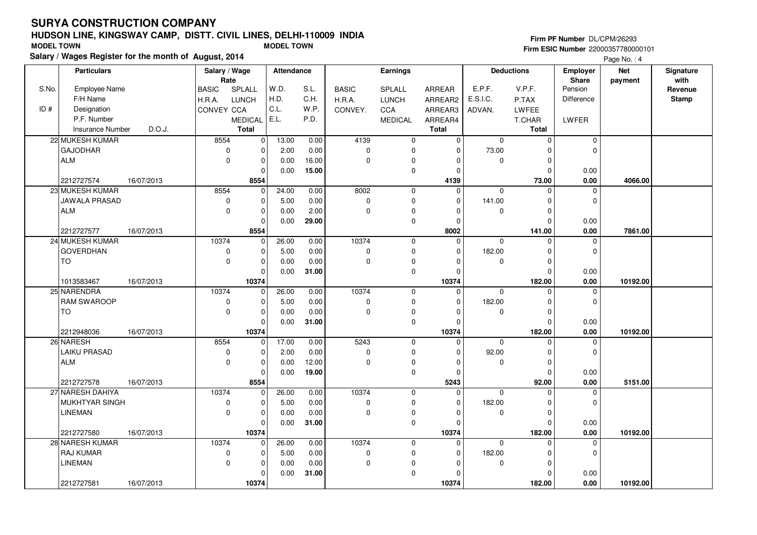S.No.

F/H NameDesignation

ID #

# **HUDSON LINE, KINGSWAY CAMP, DISTT. CIVIL LINES, DELHI-110009 INDIA**

**Salary / Wages Register for the month of August, 2014**

#### BASIC SPLALL H.R.A. LUNCHCONVEY CCA MEDICAL E.L. ARREAR ARREAR2 ARREAR3 ARREAR4**Total**Employee Name P.F. Number Insurance Number**Salary / Wage RateAttendance Earnings**BASIC H.R.A. CONVEY.SPLALL LUNCH**CCA**  MEDICAL**Total**ADVAN.P.TAX LWFEE T.CHAR **Total**E.P.F. V.P.F. E.S.I.C.Pension DifferenceLWFER**Deductions Employer Share**W.D. H.D. C.L.S.L. C.H. W.P. P.D.**Firm PF Number** DL/CPM/26293 **Firm ESIC Number** 22000357780000101 **MODEL TOWN MODEL TOWN Net paymentSignaturewith Revenue StampParticulars**Page No.: 4  $D.$  $D.$ J.J. 8554 $\overline{\phantom{0}}$  $\overline{\phantom{0}}$  $\overline{0}$  $\overline{0}$  $\overline{0}$  $\overline{0}$  $\overline{0}$  $\overline{0}$  $\overline{0}$  $\overline{0}$  **4139** 4139 $\overline{0}$  $\overline{0}$  $\overline{\phantom{0}}$  $\overline{\phantom{0}}$  $\overline{\phantom{0}}$  $\overline{\phantom{0}}$  0 0 73.00 $\overline{\phantom{0}}$  $\overline{\phantom{0}}$  $\overline{\phantom{0}}$  $\overline{\phantom{0}}$  **73.00 4066.00** $\overline{\phantom{0}}$  $\overline{\phantom{0}}$  0.0013.00 2.00 0.00 0.00 0.00 0.0016.00**15.00**16/07/2013 **0.00** 8554 $\overline{0}$  $\overline{0}$  8002 $\overline{\phantom{0}}$  0 0 $\overline{0}$ 24.000.00

| <b>INDUCTOR</b> INVEST   | יט.∪.       | ι νιαι   |       |       |             |             | ι νιαι         |             | ι νιαι       |             |          |  |
|--------------------------|-------------|----------|-------|-------|-------------|-------------|----------------|-------------|--------------|-------------|----------|--|
| 22 MUKESH KUMAR          | 8554        | $\Omega$ | 13.00 | 0.00  | 4139        | $\Omega$    | $\Omega$       | $\mathbf 0$ |              | $\Omega$    |          |  |
| <b>GAJODHAR</b>          | 0           |          | 2.00  | 0.00  | $\Omega$    | $\Omega$    | $\Omega$       | 73.00       |              | $\Omega$    |          |  |
| l ALM                    | $\Omega$    |          | 0.00  | 16.00 | $\Omega$    | $\Omega$    | $\Omega$       | $\Omega$    |              |             |          |  |
|                          |             |          | 0.00  | 15.00 |             | $\mathbf 0$ | $\Omega$       |             | $\Omega$     | 0.00        |          |  |
| 2212727574<br>16/07/2013 |             | 8554     |       |       |             |             | 4139           |             | 73.00        | 0.00        | 4066.00  |  |
| 23 MUKESH KUMAR          | 8554        | $\Omega$ | 24.00 | 0.00  | 8002        | $\Omega$    | $\Omega$       | $\Omega$    | <sup>0</sup> | $\Omega$    |          |  |
| <b>JAWALA PRASAD</b>     | $\mathbf 0$ |          | 5.00  | 0.00  | $\Omega$    | $\Omega$    | $\mathbf 0$    | 141.00      |              | $\Omega$    |          |  |
| <b>LALM</b>              | $\Omega$    |          | 0.00  | 2.00  | ∩           | $\Omega$    | <sup>0</sup>   | $\Omega$    |              |             |          |  |
|                          |             |          | 0.00  | 29.00 |             | $\Omega$    | $\Omega$       |             |              | 0.00        |          |  |
| 2212727577<br>16/07/2013 |             | 8554     |       |       |             |             | 8002           |             | 141.00       | 0.00        | 7861.00  |  |
| 24 MUKESH KUMAR          | 10374       | $\Omega$ | 26.00 | 0.00  | 10374       | $\Omega$    | $\mathbf 0$    | $\Omega$    |              | $\Omega$    |          |  |
| <b>GOVERDHAN</b>         | $\mathbf 0$ |          | 5.00  | 0.00  | $\mathbf 0$ | $\Omega$    | $\Omega$       | 182.00      |              | $\Omega$    |          |  |
| l TO                     | $\Omega$    |          | 0.00  | 0.00  | $\Omega$    | $\mathbf 0$ | $\Omega$       | $\Omega$    |              |             |          |  |
|                          |             |          | 0.00  | 31.00 |             | $\mathbf 0$ | $\Omega$       |             |              | 0.00        |          |  |
| 1013583467<br>16/07/2013 |             | 10374    |       |       |             |             | 10374          |             | 182.00       | 0.00        | 10192.00 |  |
| 25 NARENDRA              | 10374       | $\Omega$ | 26.00 | 0.00  | 10374       | 0           | $\Omega$       | $\Omega$    |              | $\Omega$    |          |  |
| <b>RAM SWAROOP</b>       | $\Omega$    |          | 5.00  | 0.00  | $\Omega$    | $\Omega$    | $\Omega$       | 182.00      |              | $\Omega$    |          |  |
| TO                       | $\mathbf 0$ |          | 0.00  | 0.00  | $\mathbf 0$ | 0           | $\Omega$       | $\mathbf 0$ |              |             |          |  |
|                          |             |          | 0.00  | 31.00 |             | $\mathbf 0$ | $\Omega$       |             | $\Omega$     | 0.00        |          |  |
| 2212948036<br>16/07/2013 |             | 10374    |       |       |             |             | 10374          |             | 182.00       | 0.00        | 10192.00 |  |
| 26 NARESH                | 8554        | $\Omega$ | 17.00 | 0.00  | 5243        | 0           | 0              | $\mathbf 0$ |              | $\Omega$    |          |  |
| LAIKU PRASAD             | $\mathbf 0$ | $\Omega$ | 2.00  | 0.00  | $\mathbf 0$ | $\mathbf 0$ | $\Omega$       | 92.00       |              | $\mathbf 0$ |          |  |
| ALM                      | $\mathbf 0$ |          | 0.00  | 12.00 | $\Omega$    | 0           | $\Omega$       | $\Omega$    |              |             |          |  |
|                          |             |          | 0.00  | 19.00 |             | $\mathbf 0$ | $\Omega$       |             |              | 0.00        |          |  |
| 16/07/2013<br>2212727578 |             | 8554     |       |       |             |             | 5243           |             | 92.00        | 0.00        | 5151.00  |  |
| 27 NARESH DAHIYA         | 10374       | $\Omega$ | 26.00 | 0.00  | 10374       | $\mathbf 0$ | $\Omega$       | $\Omega$    |              | $\Omega$    |          |  |
| MUKHTYAR SINGH           | 0           |          | 5.00  | 0.00  | $\mathbf 0$ | 0           | $\mathbf 0$    | 182.00      |              | $\Omega$    |          |  |
| <b>LINEMAN</b>           | $\Omega$    |          | 0.00  | 0.00  | $\Omega$    | 0           | $\Omega$       | $\Omega$    |              |             |          |  |
|                          |             |          | 0.00  | 31.00 |             | 0           | $\Omega$       |             |              | 0.00        |          |  |
| 2212727580<br>16/07/2013 |             | 10374    |       |       |             |             | 10374          |             | 182.00       | 0.00        | 10192.00 |  |
| 28 NARESH KUMAR          | 10374       | $\Omega$ | 26.00 | 0.00  | 10374       | $\mathbf 0$ | $\overline{0}$ | $\mathbf 0$ |              | $\mathbf 0$ |          |  |
| <b>RAJ KUMAR</b>         | $\mathbf 0$ |          | 5.00  | 0.00  | $\mathbf 0$ | $\Omega$    | 0              | 182.00      |              | $\Omega$    |          |  |
| <b>LINEMAN</b>           | $\Omega$    |          | 0.00  | 0.00  | $\Omega$    | $\Omega$    | $\Omega$       | $\Omega$    |              |             |          |  |
|                          |             |          | 0.00  | 31.00 |             | $\Omega$    |                |             |              | 0.00        |          |  |
| 16/07/2013<br>2212727581 |             | 10374    |       |       |             |             | 10374          |             | 182.00       | 0.00        | 10192.00 |  |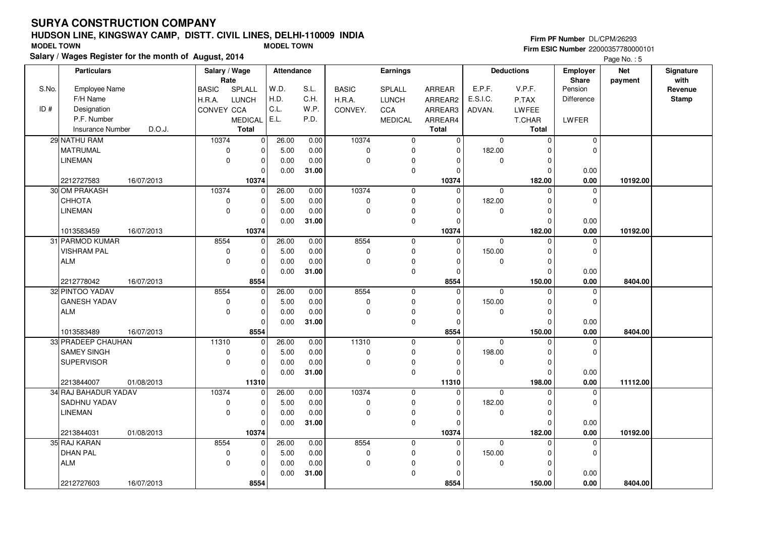# **HUDSON LINE, KINGSWAY CAMP, DISTT. CIVIL LINES, DELHI-110009 INDIA**

#### **Salary / Wages Register for the month of August, 2014 MODEL TOWN MODEL TOWN Firm PF Number** DL/CPM/26293 **Firm ESIC Number** 22000357780000101**Net** Page No. : 5

|       | <b>Particulars</b>      |            | Salary / Wage        |                                | <b>Attendance</b> |               |              | <b>Earnings</b>            |                         |             | <b>Deductions</b>       | <b>Employer</b>  | <b>Net</b> | Signature       |
|-------|-------------------------|------------|----------------------|--------------------------------|-------------------|---------------|--------------|----------------------------|-------------------------|-------------|-------------------------|------------------|------------|-----------------|
| S.No. | <b>Employee Name</b>    |            | Rate<br><b>BASIC</b> | SPLALL                         | W.D.              | S.L.          | <b>BASIC</b> | SPLALL                     | ARREAR                  | E.P.F.      | V.P.F.                  | Share<br>Pension | payment    | with<br>Revenue |
|       | F/H Name                |            | H.R.A.               | <b>LUNCH</b>                   | H.D.              | C.H.          | H.R.A.       | <b>LUNCH</b>               | ARREAR2                 | E.S.I.C.    | P.TAX                   | Difference       |            | Stamp           |
| ID#   | Designation             |            | <b>CONVEY CCA</b>    |                                | C.L.              | W.P.          |              | CCA                        |                         | ADVAN.      | <b>LWFEE</b>            |                  |            |                 |
|       | P.F. Number             |            |                      |                                | E.L.              | P.D.          | CONVEY.      |                            | ARREAR3                 |             |                         |                  |            |                 |
|       | <b>Insurance Number</b> | D.O.J.     |                      | <b>MEDICAL</b><br><b>Total</b> |                   |               |              | <b>MEDICAL</b>             | ARREAR4<br><b>Total</b> |             | T.CHAR<br>Total         | LWFER            |            |                 |
|       | 29 NATHU RAM            |            | 10374                | $\overline{0}$                 | 26.00             | 0.00          | 10374        |                            | $\mathbf 0$             | $\mathbf 0$ | $\pmb{0}$               | $\mathbf 0$      |            |                 |
|       | <b>MATRUMAL</b>         |            | $\mathbf 0$          | 0                              | 5.00              | 0.00          | $\mathbf 0$  | $\mathbf 0$<br>$\mathbf 0$ | $\Omega$                | 182.00      | $\Omega$                | 0                |            |                 |
|       | <b>LINEMAN</b>          |            | $\mathbf 0$          | $\mathbf 0$                    | 0.00              | 0.00          | $\mathbf 0$  | 0                          | $\Omega$                | $\Omega$    | $\pmb{0}$               |                  |            |                 |
|       |                         |            |                      | $\mathbf 0$                    | 0.00              | 31.00         |              | $\mathbf 0$                | $\Omega$                |             | $\mathbf 0$             | 0.00             |            |                 |
|       | 2212727583              | 16/07/2013 |                      | 10374                          |                   |               |              |                            | 10374                   |             | 182.00                  | 0.00             | 10192.00   |                 |
|       | 30 OM PRAKASH           |            | 10374                | $\mathbf 0$                    | 26.00             | 0.00          | 10374        | $\mathbf 0$                | $\Omega$                | $\Omega$    | $\Omega$                | 0                |            |                 |
|       | СННОТА                  |            | 0                    | $\mathbf 0$                    | 5.00              | 0.00          | 0            | $\pmb{0}$                  | $\Omega$                | 182.00      | $\pmb{0}$               | 0                |            |                 |
|       | <b>LINEMAN</b>          |            | $\mathbf 0$          | $\mathbf 0$                    | 0.00              | 0.00          | $\mathbf 0$  | $\pmb{0}$                  | $\Omega$                | $\mathbf 0$ | $\mathbf 0$             |                  |            |                 |
|       |                         |            |                      | $\mathbf 0$                    | 0.00              | 31.00         |              | 0                          | $\Omega$                |             | $\mathbf 0$             | 0.00             |            |                 |
|       | 1013583459              | 16/07/2013 |                      | 10374                          |                   |               |              |                            | 10374                   |             | 182.00                  | 0.00             | 10192.00   |                 |
|       | 31 PARMOD KUMAR         |            | 8554                 | 0                              | 26.00             | 0.00          | 8554         | $\mathbf 0$                | $\Omega$                | $\Omega$    | $\mathbf 0$             | 0                |            |                 |
|       | <b>VISHRAM PAL</b>      |            | $\mathbf 0$          | $\Omega$                       | 5.00              | 0.00          | $\mathbf 0$  | $\mathbf 0$                | $\Omega$                | 150.00      | $\Omega$                | $\Omega$         |            |                 |
|       | <b>ALM</b>              |            | $\mathbf 0$          | $\pmb{0}$                      | 0.00              | 0.00          | 0            | 0                          | $\Omega$                | $\mathbf 0$ | $\pmb{0}$               |                  |            |                 |
|       |                         |            |                      | $\Omega$                       | 0.00              | 31.00         |              | $\mathbf 0$                | $\Omega$                |             | $\mathbf 0$             | 0.00             |            |                 |
|       | 2212778042              | 16/07/2013 |                      | 8554                           |                   |               |              |                            | 8554                    |             | 150.00                  | 0.00             | 8404.00    |                 |
|       | 32 PINTOO YADAV         |            | 8554                 | $\Omega$                       | 26.00             | 0.00          | 8554         | $\mathbf 0$                | $\Omega$                | $\Omega$    | 0                       | 0                |            |                 |
|       | <b>GANESH YADAV</b>     |            | $\mathbf 0$          | $\mathbf 0$                    | 5.00              | 0.00          | 0            | 0                          | $\Omega$                | 150.00      | $\pmb{0}$               | 0                |            |                 |
|       | <b>ALM</b>              |            | $\mathbf 0$          | $\pmb{0}$                      | 0.00              | 0.00          | $\mathbf 0$  | 0                          | $\overline{0}$          | $\mathbf 0$ | $\mathbf 0$             |                  |            |                 |
|       |                         |            |                      | $\Omega$                       | 0.00              | 31.00         |              | $\pmb{0}$                  | $\Omega$                |             | $\Omega$                | 0.00             |            |                 |
|       | 1013583489              | 16/07/2013 |                      | 8554                           |                   |               |              |                            | 8554                    |             | 150.00                  | 0.00             | 8404.00    |                 |
|       | 33 PRADEEP CHAUHAN      |            | 11310                | $\Omega$                       | 26.00             | 0.00          | 11310        | $\mathbf 0$                | $\Omega$                | $\Omega$    | $\Omega$                | 0                |            |                 |
|       | <b>SAMEY SINGH</b>      |            | $\pmb{0}$            | 0                              | 5.00              | 0.00          | 0            | 0                          | $\Omega$                | 198.00      | $\mathbf 0$             | 0                |            |                 |
|       | <b>SUPERVISOR</b>       |            | $\pmb{0}$            | $\mathbf 0$                    | 0.00              | 0.00          | $\mathbf 0$  | 0                          | 0                       | $\mathbf 0$ | $\pmb{0}$               |                  |            |                 |
|       |                         |            |                      | $\Omega$                       | 0.00              | 31.00         |              | $\mathbf 0$                | $\Omega$                |             | $\mathbf 0$             | 0.00             |            |                 |
|       | 2213844007              | 01/08/2013 |                      | 11310                          |                   |               |              |                            | 11310                   |             | 198.00                  | 0.00             | 11112.00   |                 |
|       | 34 RAJ BAHADUR YADAV    |            | 10374                | $\Omega$                       | 26.00             | 0.00          | 10374        | $\mathbf 0$                | $\Omega$                | $\mathbf 0$ | $\Omega$                | 0                |            |                 |
|       | SADHNU YADAV            |            | $\mathbf 0$          | $\pmb{0}$                      | 5.00              | 0.00          | 0            | 0                          | $\mathbf 0$             | 182.00      | 0                       | 0                |            |                 |
|       | <b>LINEMAN</b>          |            | $\mathbf 0$          | $\mathbf 0$                    | 0.00              | 0.00          | $\mathbf{0}$ | $\pmb{0}$                  | $\Omega$                | $\mathbf 0$ | $\pmb{0}$               |                  |            |                 |
|       |                         |            |                      | $\Omega$                       | 0.00              | 31.00         |              | 0                          | $\Omega$                |             | $\Omega$                | 0.00             |            |                 |
|       | 2213844031              | 01/08/2013 |                      | 10374                          |                   |               |              |                            | 10374                   |             | 182.00                  | 0.00             | 10192.00   |                 |
|       | 35 RAJ KARAN            |            | 8554                 | 0                              | 26.00             | 0.00          | 8554         | $\mathbf 0$                | $\Omega$                | $\mathbf 0$ | $\Omega$                | 0                |            |                 |
|       | <b>DHAN PAL</b>         |            | 0                    | $\mathbf 0$                    | 5.00              | 0.00          | $\mathbf 0$  | 0                          | $\Omega$                | 150.00      | $\pmb{0}$               | 0                |            |                 |
|       | <b>ALM</b>              |            | 0                    | 0<br>$\Omega$                  | 0.00              | 0.00<br>31.00 | 0            | 0<br>$\pmb{0}$             | $\Omega$<br>$\Omega$    | 0           | $\mathbf 0$<br>$\Omega$ |                  |            |                 |
|       |                         |            |                      |                                | 0.00              |               |              |                            |                         |             |                         | 0.00             |            |                 |
|       | 2212727603              | 16/07/2013 |                      | 8554                           |                   |               |              |                            | 8554                    |             | 150.00                  | 0.00             | 8404.00    |                 |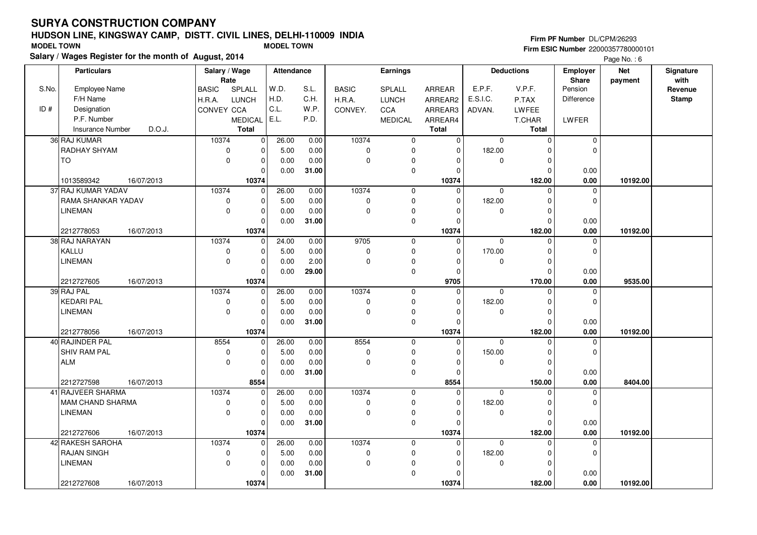# **HUDSON LINE, KINGSWAY CAMP, DISTT. CIVIL LINES, DELHI-110009 INDIASalary / Wages Register for the month of August, 2014 MODEL TOWN MODEL TOWN**

#### **Firm PF Number** DL/CPM/26293 **Firm ESIC Number** 22000357780000101

Page No. : 6

|       | <b>Particulars</b>                | Salary / Wage          |                | Attendance |       |              | <b>Earnings</b> |                |             | <b>Deductions</b> | <b>Employer</b>         | <b>Net</b> | Signature       |
|-------|-----------------------------------|------------------------|----------------|------------|-------|--------------|-----------------|----------------|-------------|-------------------|-------------------------|------------|-----------------|
| S.No. | <b>Employee Name</b>              | Rate                   | SPLALL         | W.D.       | S.L.  | <b>BASIC</b> | SPLALL          | ARREAR         | E.P.F.      | V.P.F.            | <b>Share</b><br>Pension | payment    | with<br>Revenue |
|       | F/H Name                          | <b>BASIC</b><br>H.R.A. | <b>LUNCH</b>   | H.D.       | C.H.  | H.R.A.       | <b>LUNCH</b>    | ARREAR2        | E.S.I.C.    | P.TAX             | Difference              |            | <b>Stamp</b>    |
| ID#   | Designation                       | CONVEY CCA             |                | C.L.       | W.P.  | CONVEY.      | CCA             | ARREAR3        | ADVAN.      | LWFEE             |                         |            |                 |
|       | P.F. Number                       |                        | <b>MEDICAL</b> | E.L.       | P.D.  |              | <b>MEDICAL</b>  | ARREAR4        |             | T.CHAR            | LWFER                   |            |                 |
|       | <b>Insurance Number</b><br>D.O.J. |                        | Total          |            |       |              |                 | <b>Total</b>   |             | Total             |                         |            |                 |
|       | 36 RAJ KUMAR                      | 10374                  | $\mathbf 0$    | 26.00      | 0.00  | 10374        | $\mathbf 0$     | $\overline{0}$ | $\mathbf 0$ | $\mathbf 0$       | $\mathbf 0$             |            |                 |
|       | <b>RADHAY SHYAM</b>               | $\mathbf 0$            | $\mathbf 0$    | 5.00       | 0.00  | $\mathbf 0$  | 0               | $\mathbf 0$    | 182.00      | $\Omega$          | 0                       |            |                 |
|       | <b>TO</b>                         | $\mathbf 0$            | $\mathbf 0$    | 0.00       | 0.00  | $\mathbf 0$  | 0               |                | 0           | $\Omega$          |                         |            |                 |
|       |                                   |                        | $\Omega$       | 0.00       | 31.00 |              | 0               | $\Omega$       |             | $\Omega$          | 0.00                    |            |                 |
|       | 1013589342<br>16/07/2013          |                        | 10374          |            |       |              |                 | 10374          |             | 182.00            | 0.00                    | 10192.00   |                 |
|       | 37 RAJ KUMAR YADAV                | 10374                  | $\mathbf 0$    | 26.00      | 0.00  | 10374        | $\mathbf 0$     | $\mathbf 0$    | 0           | $\Omega$          | $\mathbf 0$             |            |                 |
|       | RAMA SHANKAR YADAV                | $\mathbf 0$            | $\mathbf 0$    | 5.00       | 0.00  | $\pmb{0}$    | $\mathbf 0$     | $\Omega$       | 182.00      | $\Omega$          | $\mathbf 0$             |            |                 |
|       | <b>LINEMAN</b>                    | $\mathbf 0$            | $\mathbf 0$    | 0.00       | 0.00  | $\mathbf 0$  | 0               | $\Omega$       | 0           | $\Omega$          |                         |            |                 |
|       |                                   |                        | $\mathbf 0$    | 0.00       | 31.00 |              | $\mathbf 0$     | $\Omega$       |             | $\Omega$          | 0.00                    |            |                 |
|       | 16/07/2013<br>2212778053          |                        | 10374          |            |       |              |                 | 10374          |             | 182.00            | 0.00                    | 10192.00   |                 |
|       | 38 RAJ NARAYAN                    | 10374                  | $\mathbf 0$    | 24.00      | 0.00  | 9705         | $\mathbf 0$     | $\mathbf 0$    | $\Omega$    | $\Omega$          | $\mathbf 0$             |            |                 |
|       | KALLU                             | $\mathbf 0$            | $\mathbf 0$    | 5.00       | 0.00  | $\mathbf 0$  | $\mathbf 0$     | $\Omega$       | 170.00      | $\Omega$          | $\mathbf 0$             |            |                 |
|       | <b>LINEMAN</b>                    | $\mathbf 0$            | $\mathbf 0$    | 0.00       | 2.00  | $\Omega$     | 0               | $\Omega$       | $\Omega$    | $\mathbf 0$       |                         |            |                 |
|       |                                   |                        | $\mathbf 0$    | 0.00       | 29.00 |              | $\mathbf 0$     | $\Omega$       |             | $\Omega$          | 0.00                    |            |                 |
|       | 2212727605<br>16/07/2013          |                        | 10374          |            |       |              |                 | 9705           |             | 170.00            | 0.00                    | 9535.00    |                 |
|       | 39 RAJ PAL                        | 10374                  | 0              | 26.00      | 0.00  | 10374        | $\mathbf 0$     | $\mathbf 0$    | 0           | $\Omega$          | 0                       |            |                 |
|       | <b>KEDARI PAL</b>                 | $\mathbf 0$            | $\pmb{0}$      | 5.00       | 0.00  | $\mathbf 0$  | $\mathbf 0$     | $\Omega$       | 182.00      | $\Omega$          | $\mathbf 0$             |            |                 |
|       | <b>LINEMAN</b>                    | $\mathbf 0$            | $\mathbf 0$    | 0.00       | 0.00  | $\mathbf 0$  | 0               | $\Omega$       | 0           | $\Omega$          |                         |            |                 |
|       |                                   |                        | $\Omega$       | 0.00       | 31.00 |              | $\mathbf 0$     | $\Omega$       |             | $\Omega$          | 0.00                    |            |                 |
|       | 2212778056<br>16/07/2013          |                        | 10374          |            |       |              |                 | 10374          |             | 182.00            | 0.00                    | 10192.00   |                 |
|       | 40 RAJINDER PAL                   | 8554                   | $\overline{0}$ | 26.00      | 0.00  | 8554         | $\mathbf 0$     | $\mathbf 0$    | 0           | $\Omega$          | 0                       |            |                 |
|       | <b>SHIV RAM PAL</b>               | $\mathbf 0$            | $\mathbf 0$    | 5.00       | 0.00  | $\mathbf 0$  | $\mathbf 0$     | $\Omega$       | 150.00      | O                 | $\Omega$                |            |                 |
|       | <b>ALM</b>                        | $\mathbf 0$            | $\mathbf 0$    | 0.00       | 0.00  | $\mathbf 0$  | 0               | $\Omega$       | 0           | $\mathbf 0$       |                         |            |                 |
|       |                                   |                        | $\mathbf 0$    | 0.00       | 31.00 |              | $\mathbf 0$     | $\Omega$       |             | $\Omega$          | 0.00                    |            |                 |
|       | 2212727598<br>16/07/2013          |                        | 8554           |            |       |              |                 | 8554           |             | 150.00            | 0.00                    | 8404.00    |                 |
|       | 41 RAJVEER SHARMA                 | 10374                  | $\mathbf 0$    | 26.00      | 0.00  | 10374        | $\mathbf 0$     | $\mathbf 0$    | $\Omega$    | $\Omega$          | $\Omega$                |            |                 |
|       | MAM CHAND SHARMA                  | 0                      | $\mathbf 0$    | 5.00       | 0.00  | 0            | 0               | $\Omega$       | 182.00      | O                 | 0                       |            |                 |
|       | <b>LINEMAN</b>                    | $\mathbf 0$            | $\mathbf 0$    | 0.00       | 0.00  | $\Omega$     | 0               | $\Omega$       | 0           | $\Omega$          |                         |            |                 |
|       |                                   |                        | $\Omega$       | 0.00       | 31.00 |              | 0               | $\Omega$       |             | $\Omega$          | 0.00                    |            |                 |
|       | 2212727606<br>16/07/2013          |                        | 10374          |            |       |              |                 | 10374          |             | 182.00            | 0.00                    | 10192.00   |                 |
|       | 42 RAKESH SAROHA                  | 10374                  | $\mathbf 0$    | 26.00      | 0.00  | 10374        | $\mathbf 0$     | $\mathbf 0$    | 0           | $\Omega$          | $\mathbf 0$             |            |                 |
|       | <b>RAJAN SINGH</b>                | $\mathbf 0$            | $\mathbf 0$    | 5.00       | 0.00  | $\pmb{0}$    | 0               | 0              | 182.00      | $\Omega$          | $\mathbf 0$             |            |                 |
|       | <b>LINEMAN</b>                    | $\mathbf 0$            | $\mathbf 0$    | 0.00       | 0.00  | $\mathbf 0$  | 0               | $\Omega$       | 0           | $\Omega$          |                         |            |                 |
|       |                                   |                        | $\mathbf 0$    | 0.00       | 31.00 |              | $\mathbf 0$     | $\Omega$       |             | $\Omega$          | 0.00                    |            |                 |
|       | 2212727608<br>16/07/2013          |                        | 10374          |            |       |              |                 | 10374          |             | 182.00            | 0.00                    | 10192.00   |                 |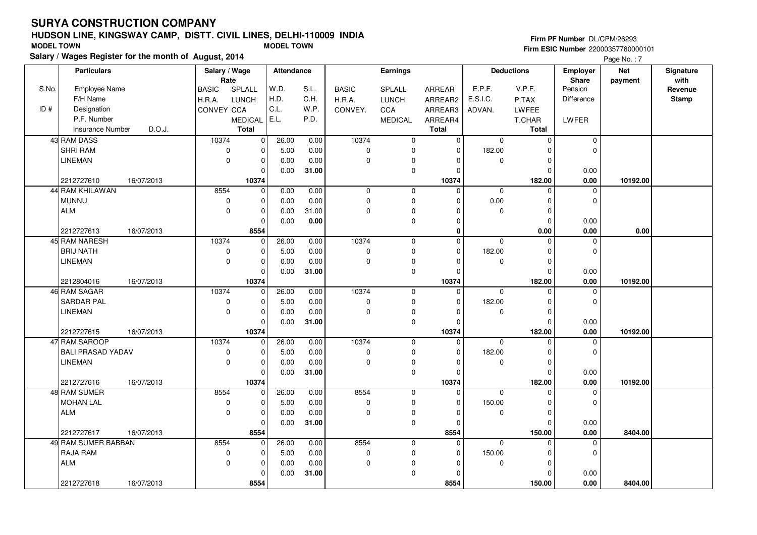# **HUDSON LINE, KINGSWAY CAMP, DISTT. CIVIL LINES, DELHI-110009 INDIASalary / Wages Register for the month of August, 2014 MODEL TOWN MODEL TOWN**

# **Firm PF Number** DL/CPM/26293

|       | Salary / wages Register for the month of August, 2014 |                        |              |                   |       |              |                |                |              |                   |              | Page No.: 7 |              |
|-------|-------------------------------------------------------|------------------------|--------------|-------------------|-------|--------------|----------------|----------------|--------------|-------------------|--------------|-------------|--------------|
|       | <b>Particulars</b>                                    | Salary / Wage          |              | <b>Attendance</b> |       |              | Earnings       |                |              | <b>Deductions</b> | Employer     | <b>Net</b>  | Signature    |
|       |                                                       | Rate                   |              |                   |       |              |                |                |              |                   | <b>Share</b> | payment     | with         |
| S.No. | Employee Name                                         | <b>BASIC</b><br>SPLALL |              | W.D.              | S.L.  | <b>BASIC</b> | SPLALL         | <b>ARREAR</b>  | E.P.F.       | V.P.F.            | Pension      |             | Revenue      |
|       | F/H Name                                              | <b>LUNCH</b><br>H.R.A. |              | H.D.              | C.H.  | H.R.A.       | <b>LUNCH</b>   | ARREAR2        | E.S.I.C.     | P.TAX             | Difference   |             | <b>Stamp</b> |
| ID#   | Designation                                           | CONVEY CCA             |              | C.L.              | W.P.  | CONVEY.      | <b>CCA</b>     | ARREAR3        | ADVAN.       | <b>LWFEE</b>      |              |             |              |
|       | P.F. Number                                           | <b>MEDICAL</b>         |              | E.L.              | P.D.  |              | <b>MEDICAL</b> | ARREAR4        |              | T.CHAR            | LWFER        |             |              |
|       | <b>Insurance Number</b><br>D.O.J.                     | <b>Total</b>           |              |                   |       |              |                | <b>Total</b>   |              | Total             |              |             |              |
|       | 43 RAM DASS                                           | 10374                  | $\mathbf 0$  | 26.00             | 0.00  | 10374        | $\mathbf 0$    | $\overline{0}$ | $\mathbf{0}$ | $\mathbf 0$       | $\mathbf 0$  |             |              |
|       | <b>SHRI RAM</b>                                       | $\mathbf 0$            | $\Omega$     | 5.00              | 0.00  | $\mathbf 0$  | $\mathbf 0$    | $\Omega$       | 182.00       | $\Omega$          | $\Omega$     |             |              |
|       | <b>LINEMAN</b>                                        | $\mathbf 0$            | $\mathbf 0$  | 0.00              | 0.00  | $\pmb{0}$    | 0              | $\Omega$       | 0            | $\mathbf 0$       |              |             |              |
|       |                                                       |                        | $\Omega$     | 0.00              | 31.00 |              | $\pmb{0}$      | $\Omega$       |              | $\Omega$          | 0.00         |             |              |
|       | 2212727610<br>16/07/2013                              |                        | 10374        |                   |       |              |                | 10374          |              | 182.00            | 0.00         | 10192.00    |              |
|       | 44 RAM KHILAWAN                                       | 8554                   | $\mathbf 0$  | 0.00              | 0.00  | $\mathbf 0$  | $\mathbf 0$    | $\Omega$       | $\mathbf 0$  | $\Omega$          | $\Omega$     |             |              |
|       | <b>MUNNU</b>                                          | $\pmb{0}$              | $\mathbf 0$  | 0.00              | 0.00  | $\pmb{0}$    | $\pmb{0}$      | $\Omega$       | 0.00         | 0                 | $\mathbf 0$  |             |              |
|       | <b>ALM</b>                                            | $\mathbf 0$            | 0            | 0.00              | 31.00 | 0            | 0              | $\Omega$       | 0            | $\mathbf 0$       |              |             |              |
|       |                                                       |                        |              | 0.00              | 0.00  |              | $\mathbf 0$    | $\Omega$       |              | $\Omega$          | 0.00         |             |              |
|       | 2212727613<br>16/07/2013                              |                        | 8554         |                   |       |              |                | 0              |              | 0.00              | 0.00         | 0.00        |              |
|       | 45 RAM NARESH                                         | 10374                  | 0            | 26.00             | 0.00  | 10374        | $\mathbf 0$    | 0              | $\mathbf 0$  | $\mathbf 0$       | 0            |             |              |
|       | <b>BRIJ NATH</b>                                      | 0                      | $\mathbf 0$  | 5.00              | 0.00  | 0            | $\mathbf 0$    | $\Omega$       | 182.00       | $\Omega$          | $\mathbf 0$  |             |              |
|       | <b>LINEMAN</b>                                        | $\mathbf 0$            | $\mathbf 0$  | 0.00              | 0.00  | $\mathbf 0$  | $\pmb{0}$      | $\Omega$       | 0            | $\Omega$          |              |             |              |
|       |                                                       |                        | $\Omega$     | 0.00              | 31.00 |              | $\mathbf 0$    | $\Omega$       |              | $\Omega$          | 0.00         |             |              |
|       | 2212804016<br>16/07/2013                              |                        | 10374        |                   |       |              |                | 10374          |              | 182.00            | 0.00         | 10192.00    |              |
|       | 46 RAM SAGAR                                          | 10374                  | $\mathbf 0$  | 26.00             | 0.00  | 10374        | $\mathbf 0$    | $\mathbf 0$    | $\mathbf 0$  | $\Omega$          | $\mathbf 0$  |             |              |
|       | <b>SARDAR PAL</b>                                     | $\mathbf 0$            | $\Omega$     | 5.00              | 0.00  | 0            | $\mathbf 0$    | $\Omega$       | 182.00       | $\Omega$          | $\mathbf 0$  |             |              |
|       | <b>LINEMAN</b>                                        | $\mathbf 0$            | $\mathbf 0$  | 0.00              | 0.00  | $\mathbf 0$  | 0              | $\Omega$       | 0            | $\mathbf 0$       |              |             |              |
|       |                                                       |                        | $\Omega$     | 0.00              | 31.00 |              | $\pmb{0}$      | $\Omega$       |              | $\Omega$          | 0.00         |             |              |
|       | 2212727615<br>16/07/2013                              |                        | 10374        |                   |       |              |                | 10374          |              | 182.00            | 0.00         | 10192.00    |              |
|       | 47 RAM SAROOP                                         | 10374                  | $\mathbf 0$  | 26.00             | 0.00  | 10374        | $\mathbf 0$    | $\mathbf 0$    | $\mathbf 0$  | $\Omega$          | $\mathbf 0$  |             |              |
|       | <b>BALI PRASAD YADAV</b>                              | $\mathbf 0$            | $\mathbf 0$  | 5.00              | 0.00  | $\pmb{0}$    | $\mathbf 0$    | $\Omega$       | 182.00       | $\Omega$          | $\mathbf 0$  |             |              |
|       | LINEMAN                                               | $\mathbf 0$            | $\Omega$     | 0.00              | 0.00  | $\mathbf 0$  | $\pmb{0}$      | $\Omega$       | $\mathbf 0$  | $\Omega$          |              |             |              |
|       |                                                       |                        |              | 0.00              | 31.00 |              | $\mathbf 0$    | $\Omega$       |              | $\Omega$          | 0.00         |             |              |
|       | 2212727616<br>16/07/2013                              |                        | 10374        |                   |       |              |                | 10374          |              | 182.00            | 0.00         | 10192.00    |              |
|       | 48 RAM SUMER                                          | 8554                   | $\mathbf 0$  | 26.00             | 0.00  | 8554         | $\mathbf 0$    | 0              | $\mathbf 0$  | $\Omega$          | $\Omega$     |             |              |
|       | <b>MOHAN LAL</b>                                      | 0                      | $\Omega$     | 5.00              | 0.00  | $\pmb{0}$    | $\mathbf 0$    | $\Omega$       | 150.00       | $\Omega$          | $\mathbf 0$  |             |              |
|       | ALM                                                   | $\mathbf 0$            | $\mathbf 0$  | 0.00              | 0.00  | $\mathbf 0$  | $\pmb{0}$      | $\Omega$       | 0            | $\Omega$          |              |             |              |
|       |                                                       |                        | $\mathbf 0$  | 0.00              | 31.00 |              | $\mathbf 0$    | $\mathbf 0$    |              | $\Omega$          | 0.00         |             |              |
|       | 2212727617<br>16/07/2013                              |                        | 8554         |                   |       |              |                | 8554           |              | 150.00            | 0.00         | 8404.00     |              |
|       | 49 RAM SUMER BABBAN                                   | 8554                   | $\mathbf{0}$ | 26.00             | 0.00  | 8554         | $\mathbf 0$    | $\mathbf 0$    | $\Omega$     | $\Omega$          | $\mathbf 0$  |             |              |
|       | <b>RAJA RAM</b>                                       | $\pmb{0}$              | $\mathbf 0$  | 5.00              | 0.00  | $\pmb{0}$    | $\mathbf 0$    | $\Omega$       | 150.00       | $\Omega$          | $\mathbf 0$  |             |              |
|       | ALM                                                   | $\mathbf 0$            | 0            | 0.00              | 0.00  | 0            | 0              | $\Omega$       | 0            | 0                 |              |             |              |
|       |                                                       |                        | $\Omega$     | 0.00              | 31.00 |              | $\mathbf 0$    | $\Omega$       |              | $\Omega$          | 0.00         |             |              |
|       | 2212727618<br>16/07/2013                              |                        | 8554         |                   |       |              |                | 8554           |              | 150.00            | 0.00         | 8404.00     |              |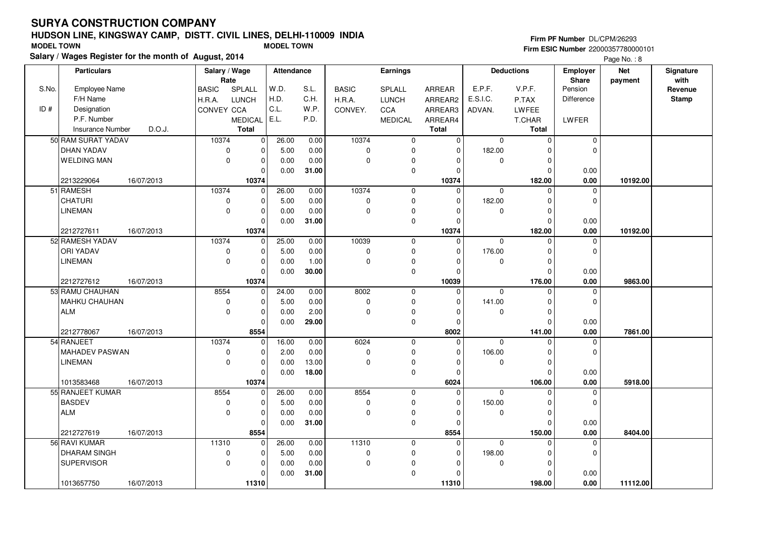# **HUDSON LINE, KINGSWAY CAMP, DISTT. CIVIL LINES, DELHI-110009 INDIASalary / Wages Register for the month of August, 2014 MODEL TOWN MODEL TOWN**

# **Firm PF Number** DL/CPM/26293

|       |                         | Salary / wages Register for the month of August, 2014 |               |                         |            |       |              |                |               |             |                     |                 | Page No.: 8 |              |
|-------|-------------------------|-------------------------------------------------------|---------------|-------------------------|------------|-------|--------------|----------------|---------------|-------------|---------------------|-----------------|-------------|--------------|
|       | <b>Particulars</b>      |                                                       | Salary / Wage |                         | Attendance |       |              | Earnings       |               |             | <b>Deductions</b>   | <b>Employer</b> | <b>Net</b>  | Signature    |
|       |                         |                                                       | Rate          |                         |            |       |              |                |               |             |                     | <b>Share</b>    | payment     | with         |
| S.No. | <b>Employee Name</b>    |                                                       | <b>BASIC</b>  | SPLALL                  | W.D.       | S.L.  | <b>BASIC</b> | SPLALL         | <b>ARREAR</b> | E.P.F.      | V.P.F.              | Pension         |             | Revenue      |
|       | F/H Name                |                                                       | H.R.A.        | LUNCH                   | H.D.       | C.H.  | H.R.A.       | <b>LUNCH</b>   | ARREAR2       | E.S.I.C.    | P.TAX               | Difference      |             | <b>Stamp</b> |
| ID#   | Designation             |                                                       | CONVEY CCA    |                         | C.L.       | W.P.  | CONVEY.      | CCA            | ARREAR3       | ADVAN.      | LWFEE               |                 |             |              |
|       | P.F. Number             |                                                       |               | <b>MEDICAL</b>          | E.L.       | P.D.  |              | <b>MEDICAL</b> | ARREAR4       |             | T.CHAR              | LWFER           |             |              |
|       | <b>Insurance Number</b> | D.O.J.                                                |               | <b>Total</b>            |            |       |              |                | <b>Total</b>  |             | <b>Total</b>        |                 |             |              |
|       | 50 RAM SURAT YADAV      |                                                       | 10374         | $\overline{\mathbf{0}}$ | 26.00      | 0.00  | 10374        | $\mathbf 0$    | $\mathbf{0}$  | $\mathbf 0$ | $\mathsf{O}\xspace$ | $\mathbf 0$     |             |              |
|       | DHAN YADAV              |                                                       | $\mathbf 0$   | $\pmb{0}$               | 5.00       | 0.00  | 0            | $\mathbf 0$    | $\mathbf 0$   | 182.00      | $\Omega$            | $\mathbf 0$     |             |              |
|       | <b>WELDING MAN</b>      |                                                       | $\mathbf 0$   | $\mathbf 0$             | 0.00       | 0.00  | 0            | $\mathbf 0$    | 0             | 0           | 0                   |                 |             |              |
|       |                         |                                                       |               | $\mathbf 0$             | 0.00       | 31.00 |              | $\mathbf 0$    | $\Omega$      |             | $\Omega$            | 0.00            |             |              |
|       | 2213229064              | 16/07/2013                                            |               | 10374                   |            |       |              |                | 10374         |             | 182.00              | 0.00            | 10192.00    |              |
|       | 51 RAMESH               |                                                       | 10374         | 0                       | 26.00      | 0.00  | 10374        | $\mathbf 0$    | $\Omega$      | $\Omega$    | $\Omega$            | 0               |             |              |
|       | <b>CHATURI</b>          |                                                       | $\pmb{0}$     | $\pmb{0}$               | 5.00       | 0.00  | 0            | $\pmb{0}$      | $\mathbf 0$   | 182.00      | $\mathbf 0$         | $\mathbf 0$     |             |              |
|       | <b>LINEMAN</b>          |                                                       | $\mathbf 0$   | $\mathbf 0$             | 0.00       | 0.00  | $\pmb{0}$    | $\pmb{0}$      | $\Omega$      | 0           | $\mathbf 0$         |                 |             |              |
|       |                         |                                                       |               | $\Omega$                | 0.00       | 31.00 |              | $\mathbf 0$    | $\Omega$      |             | $\Omega$            | 0.00            |             |              |
|       | 2212727611              | 16/07/2013                                            |               | 10374                   |            |       |              |                | 10374         |             | 182.00              | 0.00            | 10192.00    |              |
|       | 52 RAMESH YADAV         |                                                       | 10374         | $\mathbf 0$             | 25.00      | 0.00  | 10039        | $\mathbf 0$    | $\Omega$      | $\mathbf 0$ | $\mathbf 0$         | $\mathbf 0$     |             |              |
|       | <b>ORI YADAV</b>        |                                                       | 0             | 0                       | 5.00       | 0.00  | 0            | $\pmb{0}$      | $\Omega$      | 176.00      | $\mathbf 0$         | 0               |             |              |
|       | <b>LINEMAN</b>          |                                                       | $\mathbf 0$   | $\mathbf 0$             | 0.00       | 1.00  | $\pmb{0}$    | $\pmb{0}$      | $\Omega$      | 0           | $\mathbf 0$         |                 |             |              |
|       |                         |                                                       |               | $\mathbf 0$             | 0.00       | 30.00 |              | $\mathbf 0$    | $\Omega$      |             | 0                   | 0.00            |             |              |
|       | 2212727612              | 16/07/2013                                            |               | 10374                   |            |       |              |                | 10039         |             | 176.00              | 0.00            | 9863.00     |              |
|       | 53 RAMU CHAUHAN         |                                                       | 8554          | 0                       | 24.00      | 0.00  | 8002         | $\mathbf 0$    | $\Omega$      | $\Omega$    | $\Omega$            | $\mathbf 0$     |             |              |
|       | <b>MAHKU CHAUHAN</b>    |                                                       | $\mathbf 0$   | $\mathbf 0$             | 5.00       | 0.00  | 0            | $\mathbf 0$    | $\Omega$      | 141.00      | $\Omega$            | $\Omega$        |             |              |
|       | <b>ALM</b>              |                                                       | $\mathbf 0$   | $\mathbf 0$             | 0.00       | 2.00  | 0            | $\mathbf 0$    | $\Omega$      | 0           | $\mathbf 0$         |                 |             |              |
|       |                         |                                                       |               | 0                       | 0.00       | 29.00 |              | $\pmb{0}$      | $\Omega$      |             | $\mathbf 0$         | 0.00            |             |              |
|       | 2212778067              | 16/07/2013                                            |               | 8554                    |            |       |              |                | 8002          |             | 141.00              | 0.00            | 7861.00     |              |
|       | 54 RANJEET              |                                                       | 10374         | $\mathbf 0$             | 16.00      | 0.00  | 6024         | $\mathbf{0}$   | $\Omega$      | $\Omega$    | $\Omega$            | $\mathbf 0$     |             |              |
|       | MAHADEV PASWAN          |                                                       | 0             | $\mathbf 0$             | 2.00       | 0.00  | 0            | $\mathbf 0$    | $\mathbf 0$   | 106.00      | 0                   | $\mathbf 0$     |             |              |
|       | <b>LINEMAN</b>          |                                                       | $\mathbf 0$   | $\mathbf 0$             | 0.00       | 13.00 | $\mathbf 0$  | $\pmb{0}$      | $\Omega$      | $\mathbf 0$ | $\mathbf 0$         |                 |             |              |
|       |                         |                                                       |               | $\Omega$                | 0.00       | 18.00 |              | $\mathbf 0$    | $\mathbf 0$   |             | $\mathbf 0$         | 0.00            |             |              |
|       | 1013583468              | 16/07/2013                                            |               | 10374                   |            |       |              |                | 6024          |             | 106.00              | 0.00            | 5918.00     |              |
|       | 55 RANJEET KUMAR        |                                                       | 8554          | $\mathbf 0$             | 26.00      | 0.00  | 8554         | 0              | $\mathbf 0$   | $\mathbf 0$ | $\mathbf 0$         | 0               |             |              |
|       | <b>BASDEV</b>           |                                                       | $\mathbf 0$   | $\mathbf 0$             | 5.00       | 0.00  | 0            | $\mathbf 0$    | $\Omega$      | 150.00      | $\mathbf 0$         | 0               |             |              |
|       | <b>ALM</b>              |                                                       | $\mathbf 0$   | $\mathbf 0$             | 0.00       | 0.00  | 0            | 0              | $\Omega$      | $\mathbf 0$ | $\mathbf 0$         |                 |             |              |
|       |                         |                                                       |               | $\Omega$                | 0.00       | 31.00 |              | $\mathsf 0$    | $\Omega$      |             | $\Omega$            | 0.00            |             |              |
|       | 2212727619              | 16/07/2013                                            |               | 8554                    |            |       |              |                | 8554          |             | 150.00              | 0.00            | 8404.00     |              |
|       | 56 RAVI KUMAR           |                                                       | 11310         | 0                       | 26.00      | 0.00  | 11310        | 0              | $\mathbf 0$   | $\mathbf 0$ | $\Omega$            | 0               |             |              |
|       | <b>DHARAM SINGH</b>     |                                                       | $\mathbf 0$   | $\mathbf 0$             | 5.00       | 0.00  | 0            | $\mathbf 0$    | 0             | 198.00      | $\mathbf 0$         | $\mathbf 0$     |             |              |
|       | <b>SUPERVISOR</b>       |                                                       | $\mathbf 0$   | $\mathbf 0$             | 0.00       | 0.00  | 0            | 0              | $\Omega$      | 0           | $\mathbf 0$         |                 |             |              |
|       |                         |                                                       |               | $\Omega$                | 0.00       | 31.00 |              | $\mathbf 0$    | O             |             | $\Omega$            | 0.00            |             |              |
|       | 1013657750              | 16/07/2013                                            |               | 11310                   |            |       |              |                | 11310         |             | 198.00              | 0.00            | 11112.00    |              |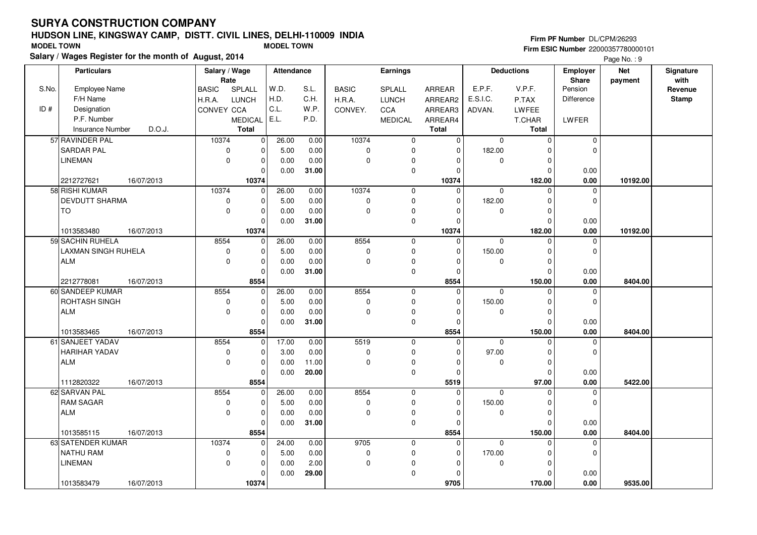S.No.

ID #

TO

ALM

# **HUDSON LINE, KINGSWAY CAMP, DISTT. CIVIL LINES, DELHI-110009 INDIA**

**Salary / Wages Register for the month of August, 2014**

#### BASIC H.R.A.CONVEY CCA SPLALL LUNCH MEDICAL E.L.ARREAR ARREAR2 ARREAR3 ARREAR4**Total**Employee NameF/H Name Designation P.F. Number Insurance Number**Salary / Wage RateAttendance Earnings**BASIC H.R.A. CONVEY.SPLALL LUNCH**CCA**  MEDICAL**Total**ADVAN.P.TAX LWFEE T.CHAR **Total**E.P.F. V.P.F. E.S.I.C.Pension DifferenceLWFER**Deductions Employer Share**W.D. H.D. C.L.S.L. C.H.W.P.P.D.**Firm PF Number** DL/CPM/26293 **Firm ESIC Number** 22000357780000101 **MODEL TOWN MODEL TOWN Net paymentSignaturewith Revenue StampParticulars**Page No.: 9 D.O.J. 10374 $\overline{0}$  $\overline{0}$  $\overline{0}$  $\overline{0}$  $\overline{0}$  $\overline{0}$ 10374  $\overline{0}$  $\overline{0}$  $\overline{0}$  $\overline{0}$   **10374** $\overline{0}$  10374 $\overline{0}$  $\overline{0}$  $\overline{0}$  $\overline{0}$  $\overline{0}$  $\overline{0}$  0 0 $\overline{0}$  182.00 $\overline{0}$  $\overline{0}$  $\overline{0}$ 182.00  **182.00 10192.00** $\overline{0}$  $\overline{0}$  0.00 $0.00$ 57 RAVINDER PAL SARDAR PALLINEMAN2212727621 16/07/2013  $\overline{0}$ 26.00 5.00 0.00 0.00 0.00 0.00 0.00 **31.00**16/07/2013 **0.00** $\overline{0}$  10374 $\overline{0}$  $\overline{0}$  $\overline{0}$  $\overline{0}$  $\overline{0}$ 10374  $\overline{0}$  $\overline{0}$  $\overline{0}$   **10374** $\overline{0}$  10374 $\overline{0}$  $\overline{0}$  $\overline{0}$  $\overline{0}$  $\overline{0}$  $\overline{0}$  $\overline{0}$  0  $\overline{0}$  182.00 $\overline{0}$  $\overline{0}$  $\overline{0}$ 182.00  **182.00 10192.00** $\overline{0}$  0.00 $0.00$ 58 RISHI KUMAR DEVDUTT SHARMA1013583480 16/07/2013  $\overline{0}$ 26.00 5.00 0.00 0.00 $0.00$  0.00 0.00 **31.00**16/07/2013 **0.00** $\overline{0}$  8554 $\overline{0}$  $\overline{0}$  $\overline{0}$  $\overline{0}$  $\overline{0}$  $\overline{0}$  8554 $\overline{0}$  $\overline{0}$  $\overline{0}$  $\overline{0}$  $\overline{0}$  0 0 $\overline{0}$  150.00 $\overline{0}$  $\overline{0}$  $\overline{0}$ 59 SACHIN RUHELA LAXMAN SINGH RUHELA26.00 5.00 0.00 0.00 0.000.00

 $0.00$ 

|                      |            |          | 0        | 0.00  | 31.00 |      | 0        | $\Omega$     |          | 0      | 0.00 |         |  |
|----------------------|------------|----------|----------|-------|-------|------|----------|--------------|----------|--------|------|---------|--|
| 2212778081           | 16/07/2013 |          | 8554     |       |       |      |          | 8554         |          | 150.00 | 0.00 | 8404.00 |  |
| 60 SANDEEP KUMAR     |            | 8554     | $\Omega$ | 26.00 | 0.00  | 8554 | 0        |              | $\Omega$ | 0      |      |         |  |
| ROHTASH SINGH        |            | 0        | 0        | 5.00  | 0.00  | 0    | $\Omega$ | 0            | 150.00   | 0      |      |         |  |
| ALM                  |            | $\Omega$ | 0        | 0.00  | 0.00  | 0    | $\Omega$ |              | $\Omega$ | 0      |      |         |  |
|                      |            |          |          | 0.00  | 31.00 |      | 0        |              |          | 0      | 0.00 |         |  |
| 1013583465           | 16/07/2013 |          | 8554     |       |       |      |          | 8554         |          | 150.00 | 0.00 | 8404.00 |  |
| 61 SANJEET YADAV     |            | 8554     | $\Omega$ | 17.00 | 0.00  | 5519 | $\Omega$ |              | $\Omega$ | 0      |      |         |  |
| <b>HARIHAR YADAV</b> |            | 0        | 0        | 3.00  | 0.00  | 0    | $\Omega$ | $\Omega$     | 97.00    | 0      |      |         |  |
| <b>ALM</b>           |            | $\Omega$ | 0        | 0.00  | 11.00 | 0    | $\Omega$ | <sup>n</sup> | O        | 0      |      |         |  |
|                      |            |          | 0        | 0.00  | 20.00 |      | $\Omega$ |              |          | 0      | 0.00 |         |  |
| 1112820322           | 16/07/2013 |          | 8554     |       |       |      |          | 5519         |          | 97.00  | 0.00 | 5422.00 |  |
| 62 SARVAN PAL        |            | 8554     | $\Omega$ | 26.00 | 0.00  | 8554 | 0        | $\Omega$     | $\Omega$ | 0      | O    |         |  |
| <b>RAM SAGAR</b>     |            | O        | 0        | 5.00  | 0.00  | 0    | $\Omega$ | 0            | 150.00   | 0      |      |         |  |
| ALM                  |            | $\Omega$ | 0        | 0.00  | 0.00  | 0    | O        |              | 0        | 0      |      |         |  |
|                      |            |          |          | 0.00  | 31.00 |      | $\Omega$ |              |          | 0      | 0.00 |         |  |
| 1013585115           | 16/07/2013 |          | 8554     |       |       |      |          | 8554         |          | 150.00 | 0.00 | 8404.00 |  |
| 63 SATENDER KUMAR    |            | 10374    | 0        | 24.00 | 0.00  | 9705 | 0        | 0            | $\Omega$ | 0      |      |         |  |
| <b>NATHU RAM</b>     |            | O        |          | 5.00  | 0.00  | ŋ    | $\Omega$ | $\Omega$     | 170.00   | 0      |      |         |  |
| <b>LINEMAN</b>       |            | $\Omega$ | 0        | 0.00  | 2.00  | 0    | $\Omega$ | 0            | 0        | 0      |      |         |  |
|                      |            |          |          | 0.00  | 29.00 |      | $\Omega$ |              |          |        | 0.00 |         |  |
| 1013583479           | 16/07/2013 |          | 10374    |       |       |      |          | 9705         |          | 170.00 | 0.00 | 9535.00 |  |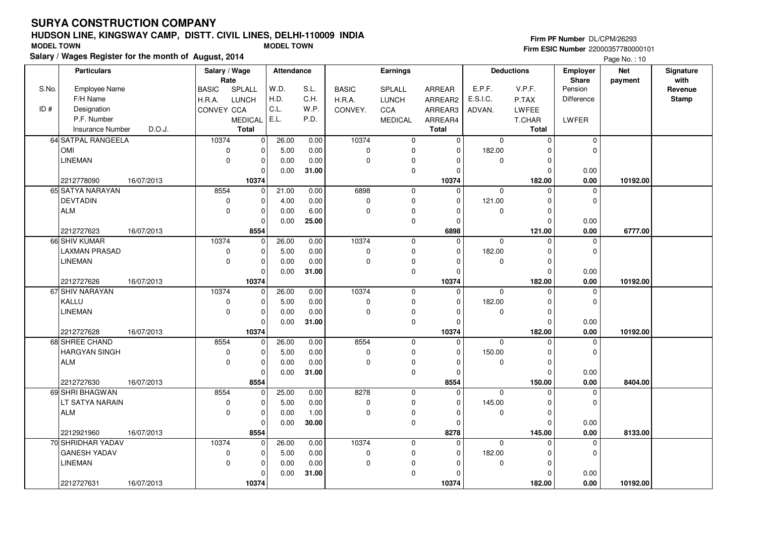# **HUDSON LINE, KINGSWAY CAMP, DISTT. CIVIL LINES, DELHI-110009 INDIASalary / Wages Register for the month of August, 2014 MODEL TOWN MODEL TOWN**

# **Firm PF Number** DL/CPM/26293

|       | Salary / wages Register for the month of August, 2014 |                            |                         |       |              |                     |               |             |                   |              | Page No.: 10 |              |
|-------|-------------------------------------------------------|----------------------------|-------------------------|-------|--------------|---------------------|---------------|-------------|-------------------|--------------|--------------|--------------|
|       | <b>Particulars</b>                                    | Salary / Wage              | Attendance              |       |              | Earnings            |               |             | <b>Deductions</b> | Employer     | <b>Net</b>   | Signature    |
|       |                                                       | Rate                       |                         |       |              |                     |               |             |                   | <b>Share</b> | payment      | with         |
| S.No. | <b>Employee Name</b>                                  | SPLALL<br><b>BASIC</b>     | W.D.                    | S.L.  | <b>BASIC</b> | SPLALL              | <b>ARREAR</b> | E.P.F.      | V.P.F.            | Pension      |              | Revenue      |
|       | F/H Name                                              | LUNCH<br>H.R.A.            | H.D.                    | C.H.  | H.R.A.       | <b>LUNCH</b>        | ARREAR2       | E.S.I.C.    | P.TAX             | Difference   |              | <b>Stamp</b> |
| ID#   | Designation                                           | CONVEY CCA                 | C.L.                    | W.P.  | CONVEY.      | <b>CCA</b>          | ARREAR3       | ADVAN.      | <b>LWFEE</b>      |              |              |              |
|       | P.F. Number                                           | <b>MEDICAL</b>             | E.L.                    | P.D.  |              | <b>MEDICAL</b>      | ARREAR4       |             | T.CHAR            | LWFER        |              |              |
|       | D.O.J.<br><b>Insurance Number</b>                     | <b>Total</b>               |                         |       |              |                     | <b>Total</b>  |             | Total             |              |              |              |
|       | 64 SATPAL RANGEELA                                    | 10374                      | $\overline{0}$<br>26.00 | 0.00  | 10374        | $\mathsf{O}\xspace$ | $\mathbf 0$   | 0           | $\mathbf{0}$      | $\pmb{0}$    |              |              |
|       | <b>OMI</b>                                            | $\mathbf 0$<br>$\mathbf 0$ | 5.00                    | 0.00  | $\mathbf 0$  | $\mathbf 0$         | $\Omega$      | 182.00      | $\Omega$          | $\Omega$     |              |              |
|       | <b>LINEMAN</b>                                        | $\mathbf 0$                | $\mathbf 0$<br>0.00     | 0.00  | $\Omega$     | 0                   | 0             | 0           | $\Omega$          |              |              |              |
|       |                                                       | $\mathbf 0$                | 0.00                    | 31.00 |              | $\mathsf{O}\xspace$ | $\Omega$      |             | $\Omega$          | 0.00         |              |              |
|       | 2212778090<br>16/07/2013                              | 10374                      |                         |       |              |                     | 10374         |             | 182.00            | 0.00         | 10192.00     |              |
|       | 65 SATYA NARAYAN                                      | 8554                       | $\mathbf 0$<br>21.00    | 0.00  | 6898         | 0                   | $\mathbf 0$   | $\mathbf 0$ | $\Omega$          | $\Omega$     |              |              |
|       | <b>DEVTADIN</b>                                       | $\mathbf 0$                | $\mathbf 0$<br>4.00     | 0.00  | $\pmb{0}$    | $\mathbf 0$         | 0             | 121.00      | $\Omega$          | $\mathbf 0$  |              |              |
|       | <b>ALM</b>                                            | $\mathbf 0$<br>$\mathbf 0$ | 0.00                    | 6.00  | $\mathbf 0$  | 0                   | $\Omega$      | 0           | $\Omega$          |              |              |              |
|       |                                                       | $\Omega$                   | 0.00                    | 25.00 |              | 0                   | $\Omega$      |             | $\Omega$          | 0.00         |              |              |
|       | 2212727623<br>16/07/2013                              | 8554                       |                         |       |              |                     | 6898          |             | 121.00            | 0.00         | 6777.00      |              |
|       | 66 SHIV KUMAR                                         | 10374                      | 26.00<br>0              | 0.00  | 10374        | $\mathsf 0$         | 0             | 0           | $\mathbf 0$       | 0            |              |              |
|       | LAXMAN PRASAD                                         | $\mathbf 0$<br>0           | 5.00                    | 0.00  | 0            | 0                   | $\Omega$      | 182.00      | $\Omega$          | $\mathbf 0$  |              |              |
|       | <b>LINEMAN</b>                                        | $\Omega$<br>$\mathbf 0$    | 0.00                    | 0.00  | $\Omega$     | 0                   | $\Omega$      | 0           | $\Omega$          |              |              |              |
|       |                                                       | $\mathbf 0$                | 0.00                    | 31.00 |              | $\mathbf 0$         | $\Omega$      |             | $\Omega$          | 0.00         |              |              |
|       | 2212727626<br>16/07/2013                              | 10374                      |                         |       |              |                     | 10374         |             | 182.00            | $0.00\,$     | 10192.00     |              |
|       | 67 SHIV NARAYAN                                       | 10374                      | 26.00<br>$\overline{0}$ | 0.00  | 10374        | $\mathbf 0$         | $\mathbf 0$   | $\Omega$    | $\Omega$          | 0            |              |              |
|       | KALLU                                                 | $\mathbf 0$<br>$\mathbf 0$ | 5.00                    | 0.00  | $\mathbf 0$  | $\mathbf 0$         | $\Omega$      | 182.00      | $\Omega$          | $\mathbf 0$  |              |              |
|       | <b>LINEMAN</b>                                        | $\mathbf 0$<br>$\mathbf 0$ | 0.00                    | 0.00  | $\Omega$     | 0                   | $\Omega$      | 0           | 0                 |              |              |              |
|       |                                                       | $\mathbf 0$                | 0.00                    | 31.00 |              | $\mathsf{O}\xspace$ | $\Omega$      |             | $\Omega$          | 0.00         |              |              |
|       | 2212727628<br>16/07/2013                              | 10374                      |                         |       |              |                     | 10374         |             | 182.00            | 0.00         | 10192.00     |              |
|       | 68 SHREE CHAND                                        | 8554                       | 26.00<br>$\mathbf 0$    | 0.00  | 8554         | $\mathbf 0$         | $\mathbf 0$   | $\mathbf 0$ | $\Omega$          | $\Omega$     |              |              |
|       | <b>HARGYAN SINGH</b>                                  | $\mathbf 0$                | $\mathbf 0$<br>5.00     | 0.00  | $\pmb{0}$    | $\mathbf 0$         | 0             | 150.00      | $\Omega$          | $\mathbf 0$  |              |              |
|       | <b>ALM</b>                                            | $\mathbf 0$<br>$\mathbf 0$ | 0.00                    | 0.00  | $\mathbf 0$  | 0                   | $\Omega$      | 0           | $\Omega$          |              |              |              |
|       |                                                       | $\Omega$                   | 0.00                    | 31.00 |              | $\mathbf 0$         | $\Omega$      |             | $\Omega$          | 0.00         |              |              |
|       | 2212727630<br>16/07/2013                              | 8554                       |                         |       |              |                     | 8554          |             | 150.00            | 0.00         | 8404.00      |              |
|       | 69 SHRI BHAGWAN                                       | 8554                       | 25.00<br>$\mathbf 0$    | 0.00  | 8278         | $\mathsf 0$         | $\mathbf 0$   | 0           | $\mathbf 0$       | 0            |              |              |
|       | LT SATYA NARAIN                                       | $\mathbf 0$<br>0           | 5.00                    | 0.00  | 0            | 0                   | $\Omega$      | 145.00      | $\Omega$          | $\mathbf 0$  |              |              |
|       | <b>ALM</b>                                            | $\mathbf 0$<br>$\mathbf 0$ | 0.00                    | 1.00  | $\Omega$     | 0                   | $\Omega$      | 0           | $\Omega$          |              |              |              |
|       |                                                       | $\mathbf 0$                | 0.00                    | 30.00 |              | $\mathbf 0$         | $\Omega$      |             | $\Omega$          | 0.00         |              |              |
|       | 2212921960<br>16/07/2013                              | 8554                       |                         |       |              |                     | 8278          |             | 145.00            | 0.00         | 8133.00      |              |
|       | 70 SHRIDHAR YADAV                                     | 10374                      | 26.00<br>$\mathbf 0$    | 0.00  | 10374        | $\mathbf 0$         | $\mathbf 0$   | $\Omega$    | $\Omega$          | 0            |              |              |
|       | <b>GANESH YADAV</b>                                   | $\mathbf 0$<br>$\mathbf 0$ | 5.00                    | 0.00  | $\mathbf 0$  | $\mathbf 0$         | $\Omega$      | 182.00      | O                 | $\Omega$     |              |              |
|       | <b>LINEMAN</b>                                        | $\mathbf 0$<br>0           | 0.00                    | 0.00  | $\Omega$     | 0                   | $\Omega$      | 0           | $\Omega$          |              |              |              |
|       |                                                       | $\mathbf 0$                | 0.00                    | 31.00 |              | 0                   |               |             |                   | 0.00         |              |              |
|       | 2212727631<br>16/07/2013                              | 10374                      |                         |       |              |                     | 10374         |             | 182.00            | 0.00         | 10192.00     |              |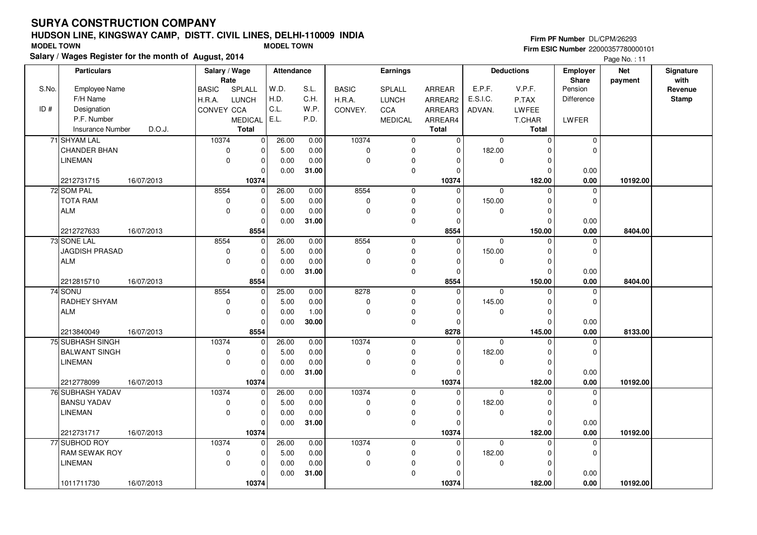# **HUDSON LINE, KINGSWAY CAMP, DISTT. CIVIL LINES, DELHI-110009 INDIASalary / Wages Register for the month of August, 2014 MODEL TOWN MODEL TOWN**

# **Firm PF Number** DL/CPM/26293

|       | Salary / wages Register for the month of August, 2014 |            |               |                |                   |       |              |                     |                |              |                   |                 | Page No.: 11 |              |
|-------|-------------------------------------------------------|------------|---------------|----------------|-------------------|-------|--------------|---------------------|----------------|--------------|-------------------|-----------------|--------------|--------------|
|       | <b>Particulars</b>                                    |            | Salary / Wage |                | <b>Attendance</b> |       |              | Earnings            |                |              | <b>Deductions</b> | <b>Employer</b> | <b>Net</b>   | Signature    |
|       |                                                       |            | Rate          |                |                   |       |              |                     |                |              |                   | <b>Share</b>    | payment      | with         |
| S.No. | Employee Name                                         |            | <b>BASIC</b>  | SPLALL         | W.D.              | S.L.  | <b>BASIC</b> | SPLALL              | <b>ARREAR</b>  | E.P.F.       | V.P.F.            | Pension         |              | Revenue      |
|       | F/H Name                                              |            | H.R.A.        | <b>LUNCH</b>   | H.D.              | C.H.  | H.R.A.       | <b>LUNCH</b>        | ARREAR2        | E.S.I.C.     | P.TAX             | Difference      |              | <b>Stamp</b> |
| ID#   | Designation                                           |            | CONVEY CCA    |                | C.L.              | W.P.  | CONVEY.      | <b>CCA</b>          | ARREAR3        | ADVAN.       | <b>LWFEE</b>      |                 |              |              |
|       | P.F. Number                                           |            |               | <b>MEDICAL</b> | E.L.              | P.D.  |              | <b>MEDICAL</b>      | ARREAR4        |              | T.CHAR            | LWFER           |              |              |
|       | <b>Insurance Number</b>                               | D.O.J.     |               | <b>Total</b>   |                   |       |              |                     | <b>Total</b>   |              | Total             |                 |              |              |
|       | 71 SHYAM LAL                                          |            | 10374         | $\overline{0}$ | 26.00             | 0.00  | 10374        | $\mathbf 0$         | $\overline{0}$ | $\Omega$     | $\mathbf 0$       | $\mathbf 0$     |              |              |
|       | <b>CHANDER BHAN</b>                                   |            | $\mathbf 0$   | $\Omega$       | 5.00              | 0.00  | $\mathbf 0$  | $\mathbf 0$         | $\Omega$       | 182.00       | $\Omega$          | $\Omega$        |              |              |
|       | <b>LINEMAN</b>                                        |            | $\mathbf 0$   | $\mathbf 0$    | 0.00              | 0.00  | 0            | 0                   | $\Omega$       | 0            | $\mathbf 0$       |                 |              |              |
|       |                                                       |            |               | $\mathbf 0$    | 0.00              | 31.00 |              | $\mathbf 0$         | $\Omega$       |              | $\mathbf 0$       | 0.00            |              |              |
|       | 2212731715                                            | 16/07/2013 |               | 10374          |                   |       |              |                     | 10374          |              | 182.00            | 0.00            | 10192.00     |              |
|       | 72 SOM PAL                                            |            | 8554          | $\mathbf 0$    | 26.00             | 0.00  | 8554         | $\mathbf 0$         | $\mathbf 0$    | $\mathbf{0}$ | $\Omega$          | $\Omega$        |              |              |
|       | <b>TOTA RAM</b>                                       |            | $\pmb{0}$     | $\mathbf 0$    | 5.00              | 0.00  | $\pmb{0}$    | $\pmb{0}$           | $\Omega$       | 150.00       | $\mathbf 0$       | $\mathbf 0$     |              |              |
|       | ALM                                                   |            | $\mathbf 0$   | $\mathbf 0$    | 0.00              | 0.00  | $\mathbf 0$  | 0                   | $\Omega$       | 0            | $\mathbf 0$       |                 |              |              |
|       |                                                       |            |               | $\Omega$       | 0.00              | 31.00 |              | $\mathbf 0$         | $\Omega$       |              | $\Omega$          | 0.00            |              |              |
|       | 2212727633                                            | 16/07/2013 |               | 8554           |                   |       |              |                     | 8554           |              | 150.00            | 0.00            | 8404.00      |              |
|       | 73 SONE LAL                                           |            | 8554          | $\mathbf 0$    | 26.00             | 0.00  | 8554         | $\mathbf 0$         | 0              | 0            | $\mathbf 0$       | $\mathbf 0$     |              |              |
|       | JAGDISH PRASAD                                        |            | 0             | $\mathbf 0$    | 5.00              | 0.00  | 0            | 0                   | $\Omega$       | 150.00       | $\mathbf 0$       | 0               |              |              |
|       | ALM                                                   |            | $\Omega$      | $\mathbf 0$    | 0.00              | 0.00  | $\Omega$     | $\mathbf 0$         | $\Omega$       | 0            | $\Omega$          |                 |              |              |
|       |                                                       |            |               | $\Omega$       | 0.00              | 31.00 |              | $\mathbf 0$         | $\Omega$       |              | $\Omega$          | 0.00            |              |              |
|       | 2212815710                                            | 16/07/2013 |               | 8554           |                   |       |              |                     | 8554           |              | 150.00            | 0.00            | 8404.00      |              |
|       | 74 SONU                                               |            | 8554          | $\overline{0}$ | 25.00             | 0.00  | 8278         | $\mathbf 0$         | 0              | $\mathbf 0$  | $\Omega$          | 0               |              |              |
|       | RADHEY SHYAM                                          |            | $\mathbf 0$   | $\mathbf 0$    | 5.00              | 0.00  | $\mathbf 0$  | $\mathbf 0$         | $\Omega$       | 145.00       | $\Omega$          | $\mathbf 0$     |              |              |
|       | <b>ALM</b>                                            |            | $\mathbf 0$   | $\mathbf 0$    | 0.00              | 1.00  | $\mathbf 0$  | 0                   | $\Omega$       | $\mathbf 0$  | $\mathbf 0$       |                 |              |              |
|       |                                                       |            |               | $\Omega$       | 0.00              | 30.00 |              | $\pmb{0}$           | $\Omega$       |              | $\Omega$          | 0.00            |              |              |
|       | 2213840049                                            | 16/07/2013 |               | 8554           |                   |       |              |                     | 8278           |              | 145.00            | 0.00            | 8133.00      |              |
|       | 75 SUBHASH SINGH                                      |            | 10374         | $\mathbf 0$    | 26.00             | 0.00  | 10374        | $\mathbf 0$         | 0              | 0            | 0                 | $\mathbf 0$     |              |              |
|       | <b>BALWANT SINGH</b>                                  |            | $\mathbf 0$   | 0              | 5.00              | 0.00  | $\mathbf 0$  | $\mathbf 0$         | $\Omega$       | 182.00       | 0                 | $\mathbf 0$     |              |              |
|       | <b>LINEMAN</b>                                        |            | $\mathbf 0$   | $\mathbf 0$    | 0.00              | 0.00  | $\Omega$     | $\pmb{0}$           | $\Omega$       | 0            | $\Omega$          |                 |              |              |
|       |                                                       |            |               | $\Omega$       | 0.00              | 31.00 |              | $\mathsf{O}\xspace$ | $\Omega$       |              | $\Omega$          | 0.00            |              |              |
|       | 2212778099                                            | 16/07/2013 |               | 10374          |                   |       |              |                     | 10374          |              | 182.00            | 0.00            | 10192.00     |              |
|       | 76 SUBHASH YADAV                                      |            | 10374         | $\mathbf 0$    | 26.00             | 0.00  | 10374        | $\mathbf 0$         | 0              | $\mathbf 0$  | $\mathbf 0$       | $\mathbf 0$     |              |              |
|       | <b>BANSU YADAV</b>                                    |            | 0             | $\mathbf 0$    | 5.00              | 0.00  | $\mathbf 0$  | $\mathbf 0$         | $\Omega$       | 182.00       | $\Omega$          | $\mathbf 0$     |              |              |
|       | <b>LINEMAN</b>                                        |            | $\mathbf 0$   | $\mathbf 0$    | 0.00              | 0.00  | $\Omega$     | $\pmb{0}$           | $\Omega$       | 0            | $\mathbf 0$       |                 |              |              |
|       |                                                       |            |               | $\mathbf 0$    | 0.00              | 31.00 |              | $\mathsf{O}\xspace$ | $\Omega$       |              | $\mathbf 0$       | 0.00            |              |              |
|       | 2212731717                                            | 16/07/2013 |               | 10374          |                   |       |              |                     | 10374          |              | 182.00            | 0.00            | 10192.00     |              |
|       | 77 SUBHOD ROY                                         |            | 10374         | $\overline{0}$ | 26.00             | 0.00  | 10374        | $\mathbf 0$         | $\Omega$       | $\Omega$     | $\Omega$          | $\mathbf 0$     |              |              |
|       | <b>RAM SEWAK ROY</b>                                  |            | $\mathbf 0$   | $\mathbf 0$    | 5.00              | 0.00  | $\pmb{0}$    | $\mathbf 0$         | $\Omega$       | 182.00       | $\Omega$          | $\mathbf 0$     |              |              |
|       | LINEMAN                                               |            | 0             | $\mathbf 0$    | 0.00              | 0.00  | 0            | 0                   | $\Omega$       | 0            | $\mathbf 0$       |                 |              |              |
|       |                                                       |            |               | $\mathbf 0$    | 0.00              | 31.00 |              | 0                   |                |              | $\Omega$          | 0.00            |              |              |
|       | 1011711730                                            | 16/07/2013 |               | 10374          |                   |       |              |                     | 10374          |              | 182.00            | 0.00            | 10192.00     |              |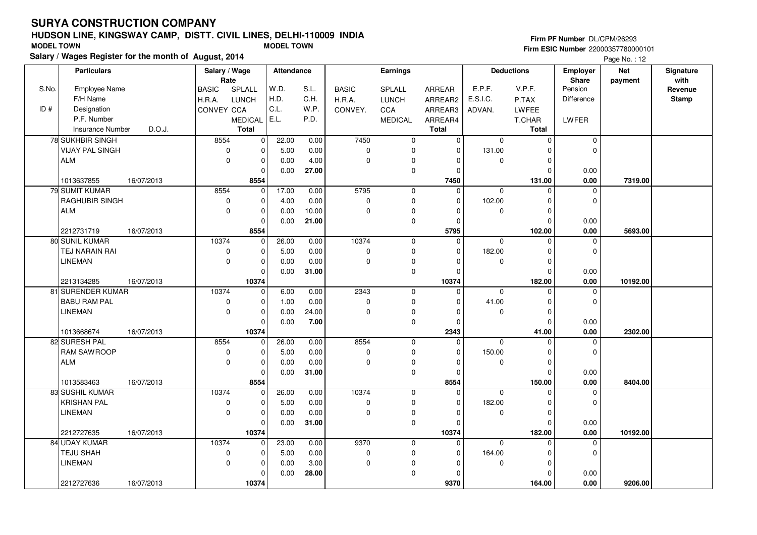Employee NameF/H Name

**Particulars**

S.No.

# **HUDSON LINE, KINGSWAY CAMP, DISTT. CIVIL LINES, DELHI-110009 INDIA**

**Salary / Wages Register for the month of August, 2014**

#### BASIC H.R.A. LUNCHCONVEYSPLALL CCAMEDICALARREAR ARREAR2ARREAR3ARREAR4**Salary / Wage RateAttendance Earnings**BASIC H.R.A.CONVEY.SPLALL LUNCHCCAMEDICALADVAN.P.TAXLWFEET.CHARE.P.F. V.P.F. E.S.I.C.Pension DifferenceLWFER**Deductions Employer Share**W.D. H.D.C.L.E.L.S.L. C.H.W.P.P.D.**Firm PF Number** DL/CPM/26293 **Firm ESIC Number** 22000357780000101 **MODEL TOWN MODEL TOWN Net paymentSignaturewith Revenue Stamp**Page No.: 12

| ID# | Designation             |            | CONVEY CCA  |                | C.L.  | W.P.  | CONVEY.     | CCA            | ARREAR3      | ADVAN.      | LWFEE        |             |          |  |
|-----|-------------------------|------------|-------------|----------------|-------|-------|-------------|----------------|--------------|-------------|--------------|-------------|----------|--|
|     | P.F. Number             |            |             | <b>MEDICAL</b> | E.L.  | P.D.  |             | <b>MEDICAL</b> | ARREAR4      |             | T.CHAR       | LWFER       |          |  |
|     | <b>Insurance Number</b> | D.O.J.     |             | <b>Total</b>   |       |       |             |                | <b>Total</b> |             | <b>Total</b> |             |          |  |
|     | <b>78 SUKHBIR SINGH</b> |            | 8554        | 0              | 22.00 | 0.00  | 7450        | $\mathbf 0$    | $\Omega$     | $\Omega$    | $\mathbf 0$  | $\mathbf 0$ |          |  |
|     | <b>VIJAY PAL SINGH</b>  |            | 0           | 0              | 5.00  | 0.00  | $\mathbf 0$ | 0              | $\Omega$     | 131.00      | $\Omega$     | 0           |          |  |
|     | <b>ALM</b>              |            | $\mathbf 0$ | 0              | 0.00  | 4.00  | $\Omega$    | 0              | $\Omega$     | $\mathbf 0$ | 0            |             |          |  |
|     |                         |            |             | $\Omega$       | 0.00  | 27.00 |             | 0              | $\Omega$     |             | $\Omega$     | 0.00        |          |  |
|     | 1013637855              | 16/07/2013 |             | 8554           |       |       |             |                | 7450         |             | 131.00       | 0.00        | 7319.00  |  |
|     | 79 SUMIT KUMAR          |            | 8554        | 0              | 17.00 | 0.00  | 5795        | $\mathbf 0$    | $\Omega$     | $\Omega$    | $\Omega$     | $\mathbf 0$ |          |  |
|     | <b>RAGHUBIR SINGH</b>   |            | $\Omega$    | 0              | 4.00  | 0.00  | $\mathbf 0$ | 0              | $\Omega$     | 102.00      | $\Omega$     | $\mathbf 0$ |          |  |
|     | <b>ALM</b>              |            | $\mathbf 0$ | 0              | 0.00  | 10.00 | $\Omega$    | 0              | $\Omega$     | $\Omega$    | 0            |             |          |  |
|     |                         |            |             | $\Omega$       | 0.00  | 21.00 |             | 0              | $\Omega$     |             | $\Omega$     | 0.00        |          |  |
|     | 2212731719              | 16/07/2013 |             | 8554           |       |       |             |                | 5795         |             | 102.00       | 0.00        | 5693.00  |  |
|     | 80 SUNIL KUMAR          |            | 10374       | 0              | 26.00 | 0.00  | 10374       | $\mathbf 0$    | $\Omega$     | $\mathbf 0$ | $\Omega$     | 0           |          |  |
|     | <b>TEJ NARAIN RAI</b>   |            | 0           | $\mathbf 0$    | 5.00  | 0.00  | $\mathbf 0$ | 0              | $\Omega$     | 182.00      | $\Omega$     | $\Omega$    |          |  |
|     | <b>LINEMAN</b>          |            | $\mathbf 0$ | 0              | 0.00  | 0.00  | $\Omega$    | 0              | $\Omega$     | $\Omega$    | 0            |             |          |  |
|     |                         |            |             | $\Omega$       | 0.00  | 31.00 |             | 0              | $\Omega$     |             | $\Omega$     | 0.00        |          |  |
|     | 2213134285              | 16/07/2013 |             | 10374          |       |       |             |                | 10374        |             | 182.00       | 0.00        | 10192.00 |  |
|     | 81 SURENDER KUMAR       |            | 10374       | $\mathbf 0$    | 6.00  | 0.00  | 2343        | $\mathbf 0$    | $\Omega$     | $\mathbf 0$ | $\Omega$     | $\mathbf 0$ |          |  |
|     | <b>BABU RAM PAL</b>     |            | 0           | 0              | 1.00  | 0.00  | $\mathbf 0$ | 0              | O            | 41.00       | $\Omega$     | $\mathbf 0$ |          |  |
|     | <b>LINEMAN</b>          |            | $\mathbf 0$ | $\Omega$       | 0.00  | 24.00 | $\Omega$    | 0              | $\Omega$     | $\mathbf 0$ | $\mathbf 0$  |             |          |  |
|     |                         |            |             | $\mathbf 0$    | 0.00  | 7.00  |             | 0              | $\Omega$     |             | $\Omega$     | 0.00        |          |  |
|     | 1013668674              | 16/07/2013 |             | 10374          |       |       |             |                | 2343         |             | 41.00        | 0.00        | 2302.00  |  |
|     | 82 SURESH PAL           |            | 8554        | $\mathbf 0$    | 26.00 | 0.00  | 8554        | 0              | $\Omega$     | $\mathbf 0$ | $\Omega$     | $\mathbf 0$ |          |  |
|     | <b>RAM SAWROOP</b>      |            | 0           | 0              | 5.00  | 0.00  | $\mathbf 0$ | 0              | $\Omega$     | 150.00      | $\mathbf 0$  | 0           |          |  |
|     | <b>ALM</b>              |            | $\mathbf 0$ | $\Omega$       | 0.00  | 0.00  | $\mathbf 0$ | $\Omega$       | $\Omega$     | $\mathbf 0$ | 0            |             |          |  |
|     |                         |            |             | 0              | 0.00  | 31.00 |             | 0              | $\Omega$     |             | $\Omega$     | 0.00        |          |  |
|     | 1013583463              | 16/07/2013 |             | 8554           |       |       |             |                | 8554         |             | 150.00       | 0.00        | 8404.00  |  |
|     | 83 SUSHIL KUMAR         |            | 10374       | 0              | 26.00 | 0.00  | 10374       | $\mathbf 0$    | $\Omega$     | $\Omega$    | $\Omega$     | $\mathbf 0$ |          |  |
|     | KRISHAN PAL             |            | 0           | 0              | 5.00  | 0.00  | $\mathbf 0$ | 0              | $\Omega$     | 182.00      | $\Omega$     | $\mathbf 0$ |          |  |
|     | <b>LINEMAN</b>          |            | $\mathbf 0$ | 0              | 0.00  | 0.00  | $\mathbf 0$ | $\Omega$       | $\Omega$     | 0           | 0            |             |          |  |
|     |                         |            |             | 0              | 0.00  | 31.00 |             | 0              | $\cap$       |             | $\Omega$     | 0.00        |          |  |
|     | 2212727635              | 16/07/2013 |             | 10374          |       |       |             |                | 10374        |             | 182.00       | 0.00        | 10192.00 |  |
|     | 84 UDAY KUMAR           |            | 10374       | 0              | 23.00 | 0.00  | 9370        | $\mathbf 0$    | $\Omega$     | $\mathbf 0$ | $\Omega$     | 0           |          |  |
|     | TEJU SHAH               |            | 0           | 0              | 5.00  | 0.00  | $\mathbf 0$ | 0              | $\Omega$     | 164.00      | $\Omega$     | $\mathbf 0$ |          |  |
|     | <b>LINEMAN</b>          |            | $\Omega$    | $\Omega$       | 0.00  | 3.00  | $\mathbf 0$ | 0              | $\Omega$     | $\Omega$    | $\Omega$     |             |          |  |
|     |                         |            |             | 0              | 0.00  | 28.00 |             | $\mathbf 0$    | 0            |             | $\Omega$     | 0.00        |          |  |
|     | 2212727636              | 16/07/2013 |             | 10374          |       |       |             |                | 9370         |             | 164.00       | 0.00        | 9206.00  |  |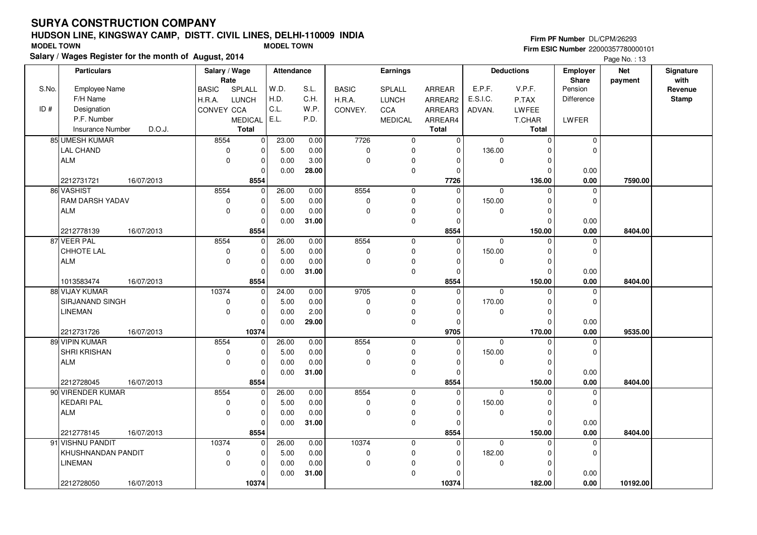# **HUDSON LINE, KINGSWAY CAMP, DISTT. CIVIL LINES, DELHI-110009 INDIASalary / Wages Register for the month of August, 2014 MODEL TOWN MODEL TOWN**

## **Firm PF Number** DL/CPM/26293

|       | Salary / wages Register for the month of August, 2014 |                        |                         |                               |              |                |                  | Page No.: 13 |                   |              |            |           |
|-------|-------------------------------------------------------|------------------------|-------------------------|-------------------------------|--------------|----------------|------------------|--------------|-------------------|--------------|------------|-----------|
|       | <b>Particulars</b>                                    | Salary / Wage          |                         | Earnings<br><b>Attendance</b> |              |                |                  |              | <b>Deductions</b> |              | <b>Net</b> | Signature |
|       |                                                       | Rate                   |                         |                               |              |                |                  |              |                   | <b>Share</b> | payment    | with      |
| S.No. | <b>Employee Name</b>                                  | <b>BASIC</b><br>SPLALL | W.D.                    | S.L.                          | <b>BASIC</b> | SPLALL         | ARREAR           | E.P.F.       | V.P.F.            | Pension      |            | Revenue   |
|       | F/H Name                                              | <b>LUNCH</b><br>H.R.A. | H.D.                    | C.H.                          | H.R.A.       | <b>LUNCH</b>   | ARREAR2          | E.S.I.C.     | P.TAX             | Difference   |            | Stamp     |
| ID#   | Designation                                           | CONVEY CCA             | C.L.                    | W.P.                          | CONVEY.      | <b>CCA</b>     | ARREAR3          | ADVAN.       | <b>LWFEE</b>      |              |            |           |
|       | P.F. Number                                           | <b>MEDICAL</b>         | E.L.                    | P.D.                          |              | <b>MEDICAL</b> | ARREAR4          |              | T.CHAR            | LWFER        |            |           |
|       | D.O.J.<br><b>Insurance Number</b>                     | <b>Total</b>           |                         |                               |              |                | <b>Total</b>     |              | <b>Total</b>      |              |            |           |
|       | 85 UMESH KUMAR                                        | 8554                   | $\overline{0}$<br>23.00 | 0.00                          | 7726         | $\mathbf 0$    | $\Omega$         | $\Omega$     | $\mathbf 0$       | 0            |            |           |
|       | <b>LAL CHAND</b>                                      | $\mathbf 0$            | $\mathbf 0$<br>5.00     | 0.00                          | 0            | $\mathbf 0$    | $\Omega$         | 136.00       | $\Omega$          | 0            |            |           |
|       | <b>ALM</b>                                            | $\mathbf 0$            | $\pmb{0}$<br>0.00       | 3.00                          | 0            | $\mathbf 0$    | $\Omega$         | $\mathbf 0$  | $\mathbf 0$       |              |            |           |
|       |                                                       |                        | $\mathbf 0$<br>0.00     | 28.00                         |              | $\mathbf 0$    | $\Omega$         |              | $\mathbf 0$       | 0.00         |            |           |
|       | 2212731721<br>16/07/2013                              | 8554                   |                         |                               |              |                | 7726             |              | 136.00            | 0.00         | 7590.00    |           |
|       | 86 VASHIST                                            | 8554                   | $\mathbf 0$<br>26.00    | 0.00                          | 8554         | 0              | $\Omega$         | $\mathbf 0$  | $\Omega$          | 0            |            |           |
|       | <b>RAM DARSH YADAV</b>                                | $\mathbf 0$            | $\mathbf 0$<br>5.00     | 0.00                          | 0            | $\mathbf 0$    | $\Omega$         | 150.00       | 0                 | 0            |            |           |
|       | <b>ALM</b>                                            | $\Omega$               | $\mathbf 0$<br>0.00     | 0.00                          | 0            | $\mathbf 0$    | $\Omega$         | $\mathbf 0$  | $\Omega$          |              |            |           |
|       |                                                       |                        | $\Omega$<br>0.00        | 31.00                         |              | $\mathbf 0$    | $\Omega$         |              | $\Omega$          | 0.00         |            |           |
|       | 2212778139<br>16/07/2013                              | 8554                   |                         |                               |              |                | 8554             |              | 150.00            | 0.00         | 8404.00    |           |
|       | 87 VEER PAL                                           | 8554                   | 26.00<br>$\mathbf 0$    | 0.00                          | 8554         | $\mathbf 0$    | $\Omega$         | $\mathbf 0$  | 0                 | $\mathbf 0$  |            |           |
|       | CHHOTE LAL                                            | $\mathbf 0$            | $\pmb{0}$<br>5.00       | 0.00                          | 0            | $\mathbf 0$    | $\Omega$         | 150.00       | $\mathbf 0$       | 0            |            |           |
|       | ALM                                                   | $\Omega$               | $\pmb{0}$<br>0.00       | 0.00                          | 0            | $\mathbf 0$    | $\Omega$         | $\mathbf 0$  | $\mathbf 0$       |              |            |           |
|       |                                                       |                        | $\mathbf 0$<br>0.00     | 31.00                         |              | $\mathbf 0$    | $\Omega$         |              | $\Omega$          | 0.00         |            |           |
|       | 16/07/2013<br>1013583474                              | 8554                   |                         |                               |              |                | 8554             |              | 150.00            | 0.00         | 8404.00    |           |
|       | 88 VIJAY KUMAR                                        | 10374                  | 24.00<br>$\mathbf 0$    | 0.00                          | 9705         | $\mathbf 0$    | $\Omega$         | $\Omega$     | $\Omega$          | 0            |            |           |
|       | SIRJANAND SINGH                                       | 0                      | $\mathbf 0$<br>5.00     | 0.00                          | 0            | $\mathbf 0$    | $\Omega$         | 170.00       | $\Omega$          | $\Omega$     |            |           |
|       | LINEMAN                                               | $\mathbf 0$            | $\pmb{0}$<br>0.00       | 2.00                          | 0            | 0              | 0                | $\mathbf 0$  | $\pmb{0}$         |              |            |           |
|       |                                                       |                        | 0.00<br>$\mathbf 0$     | 29.00                         |              | $\mathbf 0$    | $\Omega$         |              | $\Omega$          | 0.00         |            |           |
|       | 2212731726<br>16/07/2013                              | 10374                  |                         |                               |              |                | 9705             |              | 170.00            | 0.00         | 9535.00    |           |
|       | 89 VIPIN KUMAR                                        | 8554                   | 26.00<br>$\mathbf 0$    | 0.00                          | 8554         | $\mathbf 0$    | $\Omega$         | $\mathbf{0}$ | $\Omega$          | 0            |            |           |
|       | <b>SHRI KRISHAN</b>                                   | $\pmb{0}$              | $\pmb{0}$<br>5.00       | 0.00                          | 0            | $\mathbf 0$    | $\Omega$         | 150.00       | 0                 | 0            |            |           |
|       | ALM                                                   | $\mathbf 0$            | $\mathbf 0$<br>0.00     | 0.00                          | 0            | $\mathbf 0$    | 0                | 0            | $\pmb{0}$         |              |            |           |
|       |                                                       |                        | $\Omega$<br>0.00        | 31.00                         |              | $\mathbf 0$    | $\Omega$         |              | $\Omega$          | 0.00         |            |           |
|       | 2212728045<br>16/07/2013<br>90 VIRENDER KUMAR         | 8554                   |                         |                               |              |                | 8554<br>$\Omega$ |              | 150.00            | 0.00         | 8404.00    |           |
|       |                                                       | 8554                   | 26.00<br>0              | 0.00                          | 8554         | $\mathbf 0$    |                  | $\mathbf 0$  | 0                 | 0            |            |           |
|       | <b>KEDARI PAL</b>                                     | $\mathbf 0$            | $\pmb{0}$<br>5.00       | 0.00                          | 0            | $\mathbf 0$    | $\Omega$         | 150.00       | $\pmb{0}$         | 0            |            |           |
|       | ALM                                                   | $\mathbf 0$            | $\mathbf 0$<br>0.00     | 0.00                          | 0            | $\mathbf 0$    | $\Omega$         | $\mathbf 0$  | $\Omega$          |              |            |           |
|       |                                                       |                        | 0.00<br>$\mathbf 0$     | 31.00                         |              | $\mathbf 0$    | $\Omega$         |              | $\Omega$          | 0.00         |            |           |
|       | 2212778145<br>16/07/2013                              | 8554                   |                         |                               |              |                | 8554             |              | 150.00            | 0.00         | 8404.00    |           |
|       | 91 VISHNU PANDIT                                      | 10374                  | 26.00<br>0              | 0.00                          | 10374        | $\mathbf 0$    | $\Omega$         | $\mathbf 0$  | $\mathbf 0$       | 0            |            |           |
|       | KHUSHNANDAN PANDIT                                    | $\pmb{0}$              | $\mathbf 0$<br>5.00     | 0.00                          | 0            | $\mathbf 0$    | $\Omega$         | 182.00       | $\Omega$          | 0            |            |           |
|       | <b>LINEMAN</b>                                        | $\mathbf 0$            | $\mathbf 0$<br>0.00     | 0.00                          | 0            | 0              | $\Omega$         | $\mathbf 0$  | 0                 |              |            |           |
|       |                                                       |                        | $\Omega$<br>0.00        | 31.00                         |              | $\mathbf 0$    |                  |              | $\Omega$          | 0.00         |            |           |
|       | 2212728050<br>16/07/2013                              | 10374                  |                         |                               |              |                | 10374            |              | 182.00            | 0.00         | 10192.00   |           |